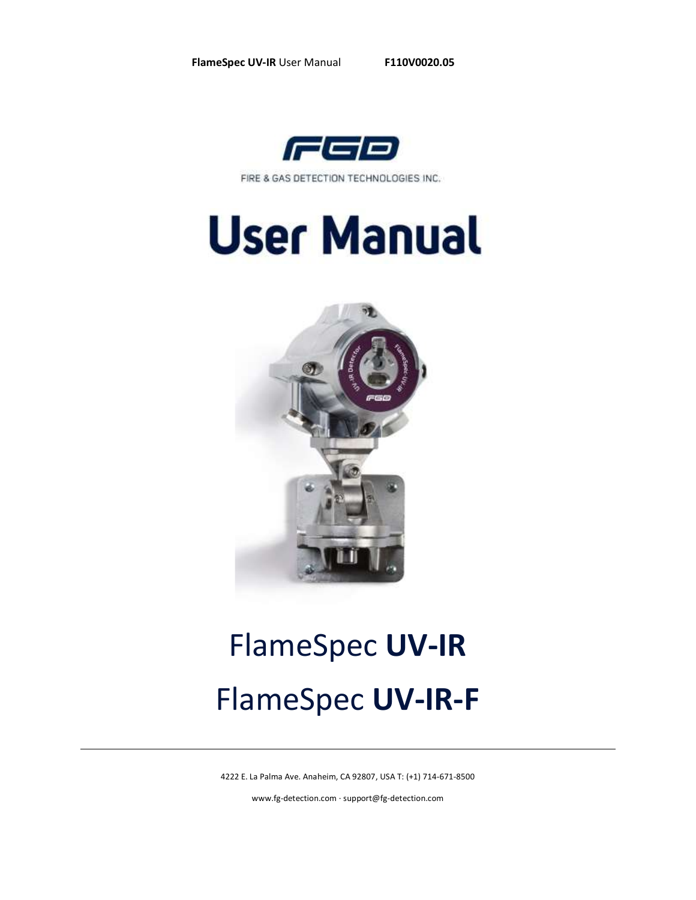

FIRE & GAS DETECTION TECHNOLOGIES INC.

# **User Manual**



# FlameSpec **UV-IR** FlameSpec **UV-IR-F**

4222 E. La Palma Ave. Anaheim, CA 92807, USA T: (+1) 714-671-8500

[www.fg-detection.com](http://www.fg-detection.com/) · support@fg-detection.com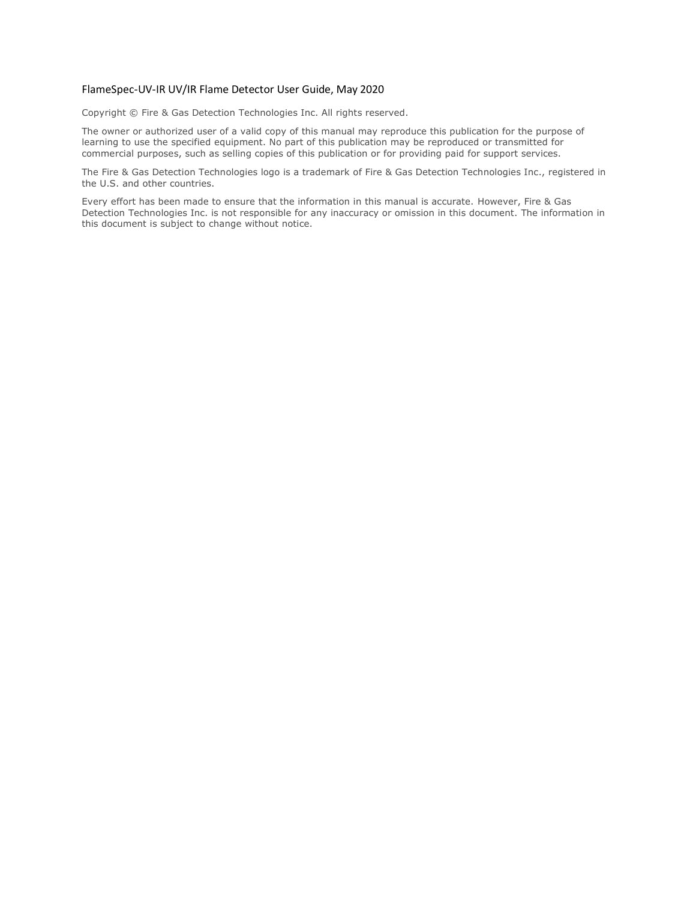#### FlameSpec-UV-IR UV/IR Flame Detector User Guide, May 2020

Copyright © Fire & Gas Detection Technologies Inc. All rights reserved.

The owner or authorized user of a valid copy of this manual may reproduce this publication for the purpose of learning to use the specified equipment. No part of this publication may be reproduced or transmitted for commercial purposes, such as selling copies of this publication or for providing paid for support services.

The Fire & Gas Detection Technologies logo is a trademark of Fire & Gas Detection Technologies Inc., registered in the U.S. and other countries.

Every effort has been made to ensure that the information in this manual is accurate. However, Fire & Gas Detection Technologies Inc. is not responsible for any inaccuracy or omission in this document. The information in this document is subject to change without notice.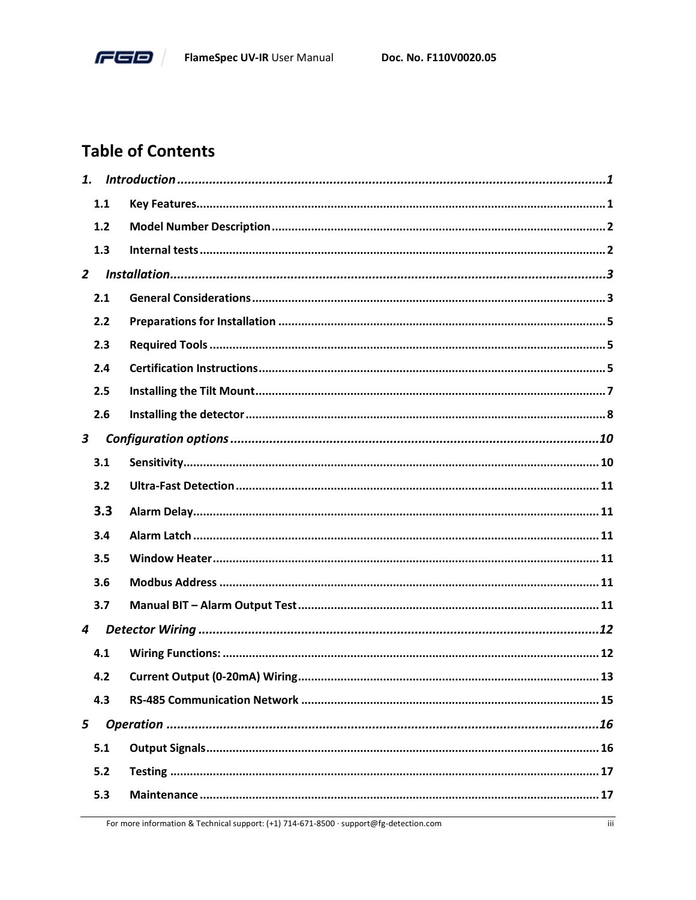

# **Table of Contents**

| 1.             |     |  |
|----------------|-----|--|
|                | 1.1 |  |
|                | 1.2 |  |
|                | 1.3 |  |
| $\overline{2}$ |     |  |
|                | 2.1 |  |
|                | 2.2 |  |
|                | 2.3 |  |
|                | 2.4 |  |
|                | 2.5 |  |
|                | 2.6 |  |
| $\mathbf{3}$   |     |  |
|                | 3.1 |  |
|                | 3.2 |  |
|                | 3.3 |  |
|                | 3.4 |  |
|                | 3.5 |  |
|                | 3.6 |  |
|                | 3.7 |  |
| 4              |     |  |
|                | 4.1 |  |
|                | 4.2 |  |
|                | 4.3 |  |
| 5              |     |  |
|                | 5.1 |  |
|                | 5.2 |  |
|                | 5.3 |  |
|                |     |  |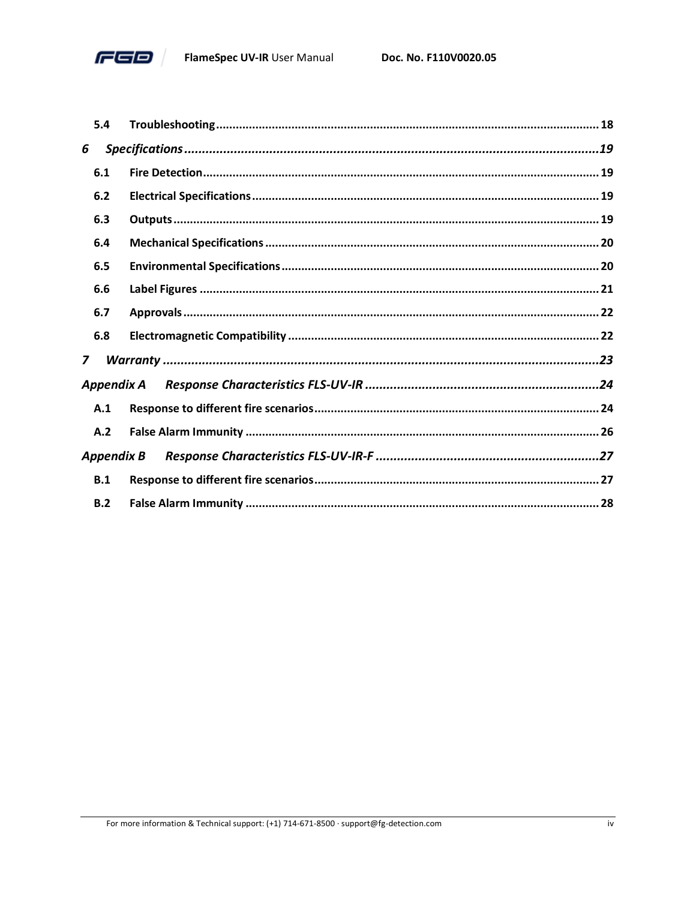

|              | 5.4               |  |
|--------------|-------------------|--|
| 6            |                   |  |
|              | 6.1               |  |
|              | 6.2               |  |
|              | 6.3               |  |
|              | 6.4               |  |
|              | 6.5               |  |
|              | 6.6               |  |
|              | 6.7               |  |
|              | 6.8               |  |
| $\mathbf{z}$ |                   |  |
|              | Appendix A        |  |
|              | A.1               |  |
|              | A.2               |  |
|              | <b>Appendix B</b> |  |
|              | B.1               |  |
|              | B.2               |  |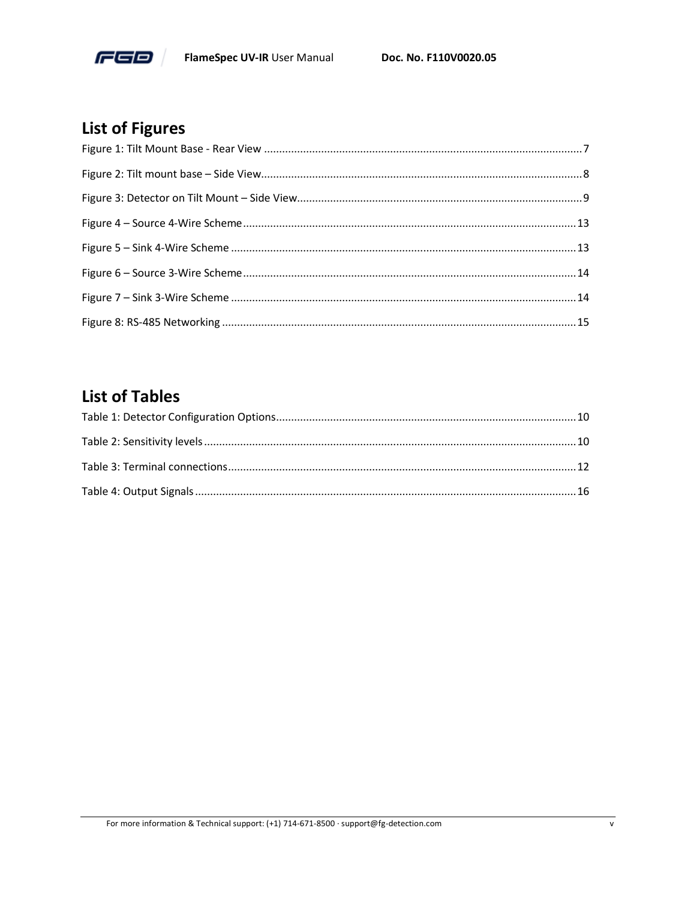

# **List of Figures**

# **List of Tables**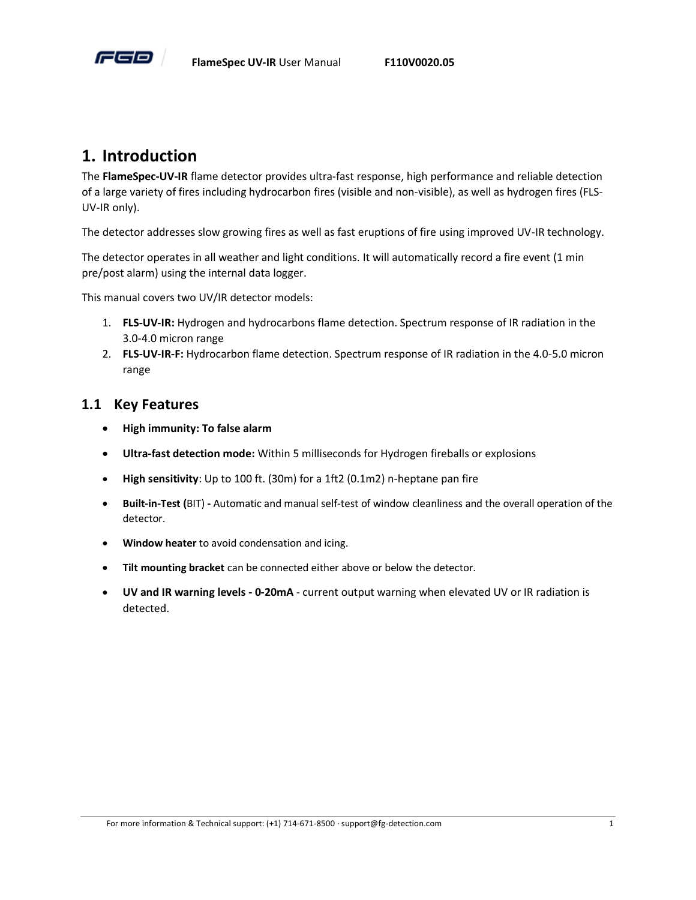

# <span id="page-5-0"></span>**1. Introduction**

The **FlameSpec-UV-IR** flame detector provides ultra-fast response, high performance and reliable detection of a large variety of fires including hydrocarbon fires (visible and non-visible), as well as hydrogen fires (FLS-UV-IR only).

The detector addresses slow growing fires as well as fast eruptions of fire using improved UV-IR technology.

The detector operates in all weather and light conditions. It will automatically record a fire event (1 min pre/post alarm) using the internal data logger.

This manual covers two UV/IR detector models:

- 1. **FLS-UV-IR:** Hydrogen and hydrocarbons flame detection. Spectrum response of IR radiation in the 3.0-4.0 micron range
- 2. **FLS-UV-IR-F:** Hydrocarbon flame detection. Spectrum response of IR radiation in the 4.0-5.0 micron range

### <span id="page-5-1"></span>**1.1 Key Features**

- **High immunity: To false alarm**
- **Ultra-fast detection mode:** Within 5 milliseconds for Hydrogen fireballs or explosions
- **High sensitivity**: Up to 100 ft. (30m) for a 1ft2 (0.1m2) n-heptane pan fire
- **Built-in-Test (**BIT) **-** Automatic and manual self-test of window cleanliness and the overall operation of the detector.
- **Window heater** to avoid condensation and icing.
- **Tilt mounting bracket** can be connected either above or below the detector.
- **UV and IR warning levels - 0-20mA** current output warning when elevated UV or IR radiation is detected.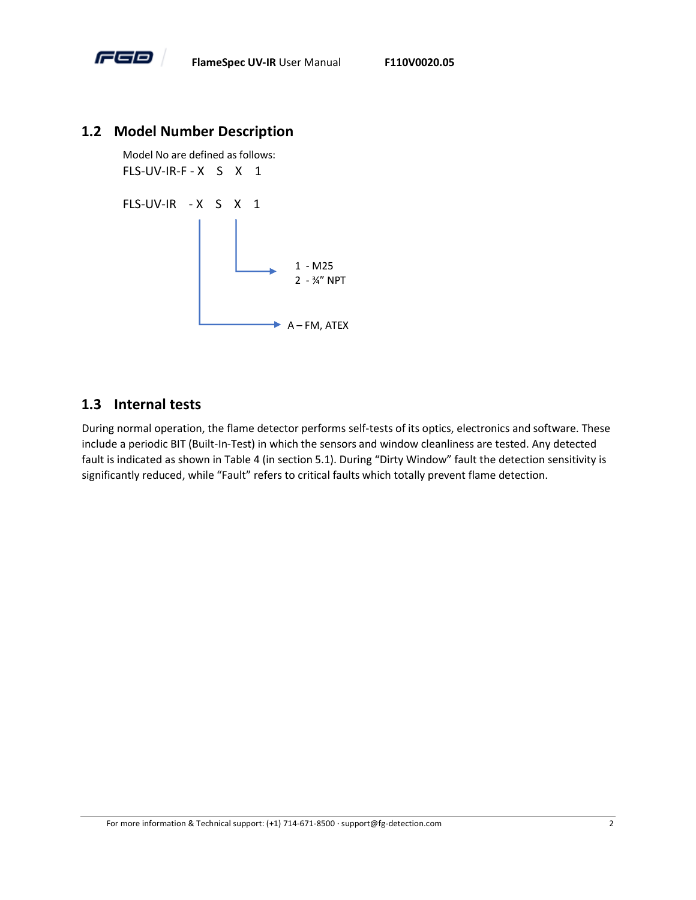

## <span id="page-6-0"></span>**1.2 Model Number Description**

Model No are defined as follows: FLS-UV-IR-F - X S X 1



## <span id="page-6-1"></span>**1.3 Internal tests**

During normal operation, the flame detector performs self-tests of its optics, electronics and software. These include a periodic BIT (Built-In-Test) in which the sensors and window cleanliness are tested. Any detected fault is indicated as shown i[n Table 4](#page-20-2) (in section [5.1\)](#page-20-1). During "Dirty Window" fault the detection sensitivity is significantly reduced, while "Fault" refers to critical faults which totally prevent flame detection.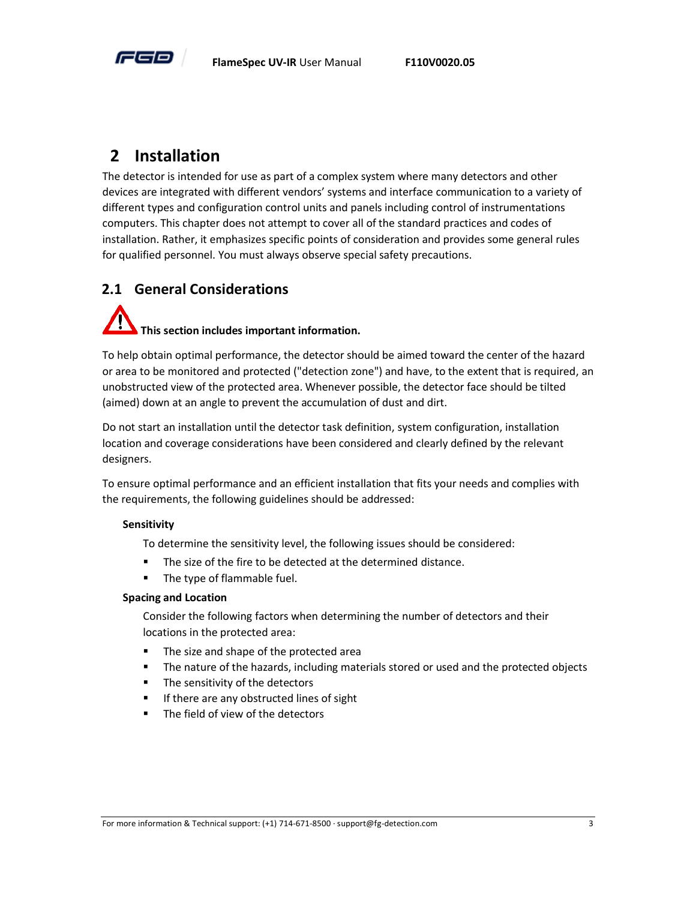

# <span id="page-7-0"></span>**2 Installation**

The detector is intended for use as part of a complex system where many detectors and other devices are integrated with different vendors' systems and interface communication to a variety of different types and configuration control units and panels including control of instrumentations computers. This chapter does not attempt to cover all of the standard practices and codes of installation. Rather, it emphasizes specific points of consideration and provides some general rules for qualified personnel. You must always observe special safety precautions.

## <span id="page-7-1"></span>**2.1 General Considerations**

# **This section includes important information.**

To help obtain optimal performance, the detector should be aimed toward the center of the hazard or area to be monitored and protected ("detection zone") and have, to the extent that is required, an unobstructed view of the protected area. Whenever possible, the detector face should be tilted (aimed) down at an angle to prevent the accumulation of dust and dirt.

Do not start an installation until the detector task definition, system configuration, installation location and coverage considerations have been considered and clearly defined by the relevant designers.

To ensure optimal performance and an efficient installation that fits your needs and complies with the requirements, the following guidelines should be addressed:

#### **Sensitivity**

To determine the sensitivity level, the following issues should be considered:

- The size of the fire to be detected at the determined distance.
- The type of flammable fuel.

#### **Spacing and Location**

Consider the following factors when determining the number of detectors and their locations in the protected area:

- The size and shape of the protected area
- **■** The nature of the hazards, including materials stored or used and the protected objects
- The sensitivity of the detectors
- If there are any obstructed lines of sight
- The field of view of the detectors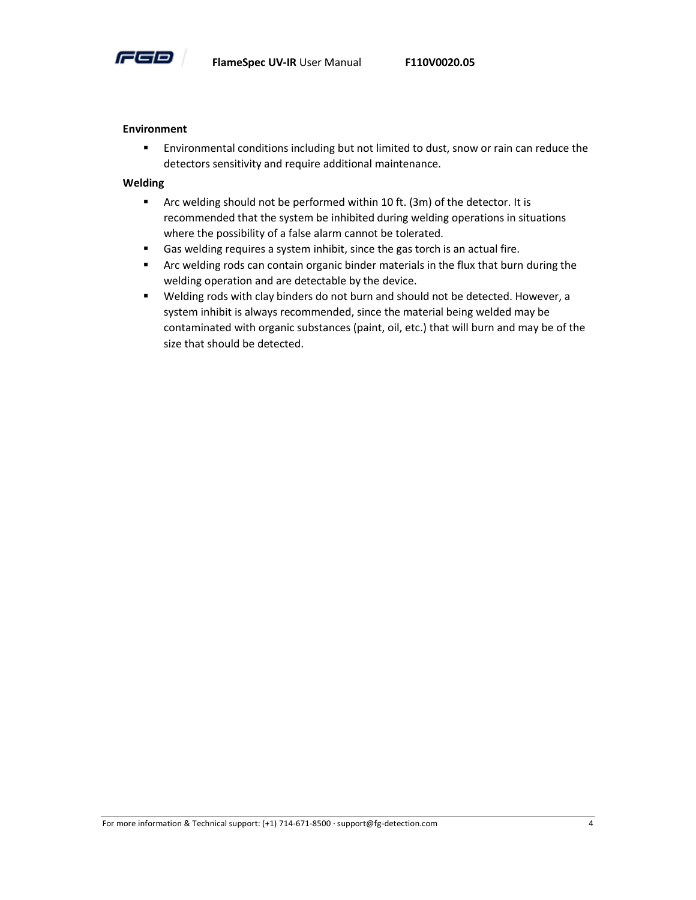

#### **Environment**

**Environmental conditions including but not limited to dust, snow or rain can reduce the** detectors sensitivity and require additional maintenance.

#### **Welding**

- Arc welding should not be performed within 10 ft. (3m) of the detector. It is recommended that the system be inhibited during welding operations in situations where the possibility of a false alarm cannot be tolerated.
- Gas welding requires a system inhibit, since the gas torch is an actual fire.
- Arc welding rods can contain organic binder materials in the flux that burn during the welding operation and are detectable by the device.
- Welding rods with clay binders do not burn and should not be detected. However, a system inhibit is always recommended, since the material being welded may be contaminated with organic substances (paint, oil, etc.) that will burn and may be of the size that should be detected.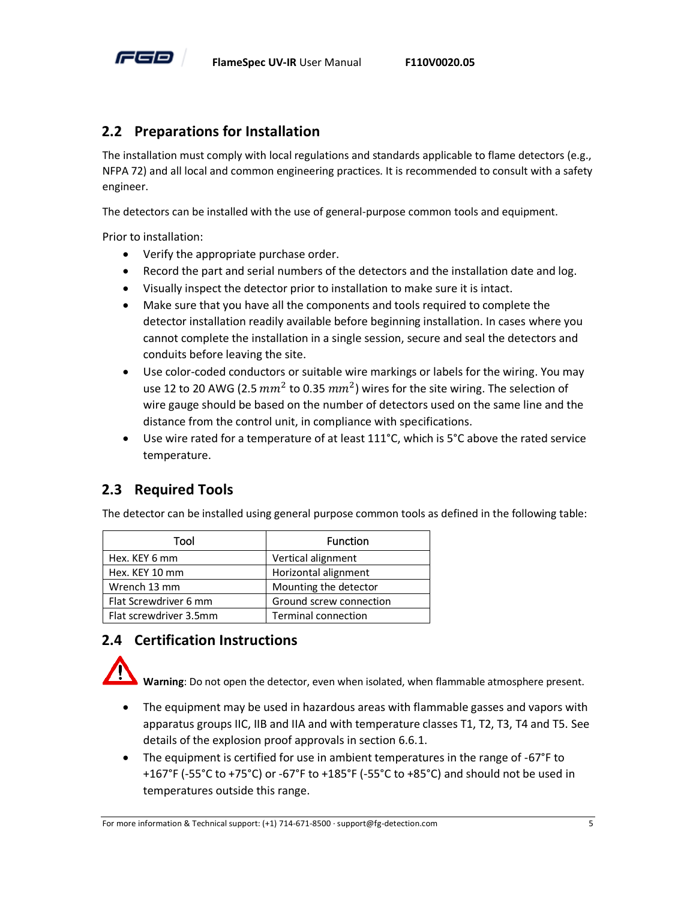

## <span id="page-9-0"></span>**2.2 Preparations for Installation**

The installation must comply with local regulations and standards applicable to flame detectors (e.g., NFPA 72) and all local and common engineering practices. It is recommended to consult with a safety engineer.

The detectors can be installed with the use of general-purpose common tools and equipment.

Prior to installation:

- Verify the appropriate purchase order.
- Record the part and serial numbers of the detectors and the installation date and log.
- Visually inspect the detector prior to installation to make sure it is intact.
- Make sure that you have all the components and tools required to complete the detector installation readily available before beginning installation. In cases where you cannot complete the installation in a single session, secure and seal the detectors and conduits before leaving the site.
- Use color-coded conductors or suitable wire markings or labels for the wiring. You may use 12 to 20 AWG (2.5  $mm^2$  to 0.35  $mm^2$ ) wires for the site wiring. The selection of wire gauge should be based on the number of detectors used on the same line and the distance from the control unit, in compliance with specifications.
- Use wire rated for a temperature of at least 111°C, which is 5°C above the rated service temperature.

## <span id="page-9-1"></span>**2.3 Required Tools**

The detector can be installed using general purpose common tools as defined in the following table:

| Tool                   | <b>Function</b>            |
|------------------------|----------------------------|
| Hex. KEY 6 mm          | Vertical alignment         |
| Hex. KEY 10 mm         | Horizontal alignment       |
| Wrench 13 mm           | Mounting the detector      |
| Flat Screwdriver 6 mm  | Ground screw connection    |
| Flat screwdriver 3.5mm | <b>Terminal connection</b> |

## <span id="page-9-2"></span>**2.4 Certification Instructions**

**Warning**: Do not open the detector, even when isolated, when flammable atmosphere present.

- The equipment may be used in hazardous areas with flammable gasses and vapors with apparatus groups IIC, IIB and IIA and with temperature classes T1, T2, T3, T4 and T5. See details of the explosion proof approvals in section [6.6.1.](#page-25-1)
- The equipment is certified for use in ambient temperatures in the range of -67°F to +167°F (-55°C to +75°C) or -67°F to +185°F (-55°C to +85°C) and should not be used in temperatures outside this range.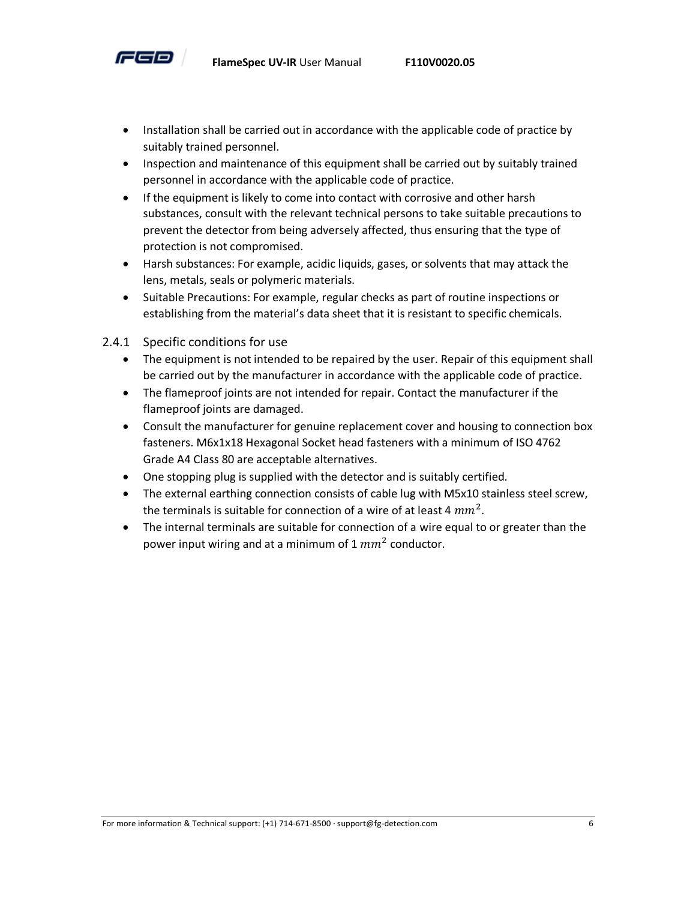

- Installation shall be carried out in accordance with the applicable code of practice by suitably trained personnel.
- Inspection and maintenance of this equipment shall be carried out by suitably trained personnel in accordance with the applicable code of practice.
- If the equipment is likely to come into contact with corrosive and other harsh substances, consult with the relevant technical persons to take suitable precautions to prevent the detector from being adversely affected, thus ensuring that the type of protection is not compromised.
- Harsh substances: For example, acidic liquids, gases, or solvents that may attack the lens, metals, seals or polymeric materials.
- Suitable Precautions: For example, regular checks as part of routine inspections or establishing from the material's data sheet that it is resistant to specific chemicals.
- 2.4.1 Specific conditions for use
	- The equipment is not intended to be repaired by the user. Repair of this equipment shall be carried out by the manufacturer in accordance with the applicable code of practice.
	- The flameproof joints are not intended for repair. Contact the manufacturer if the flameproof joints are damaged.
	- Consult the manufacturer for genuine replacement cover and housing to connection box fasteners. M6x1x18 Hexagonal Socket head fasteners with a minimum of ISO 4762 Grade A4 Class 80 are acceptable alternatives.
	- One stopping plug is supplied with the detector and is suitably certified.
	- The external earthing connection consists of cable lug with M5x10 stainless steel screw, the terminals is suitable for connection of a wire of at least 4  $mm^2$ .
	- The internal terminals are suitable for connection of a wire equal to or greater than the power input wiring and at a minimum of 1  $mm^2$  conductor.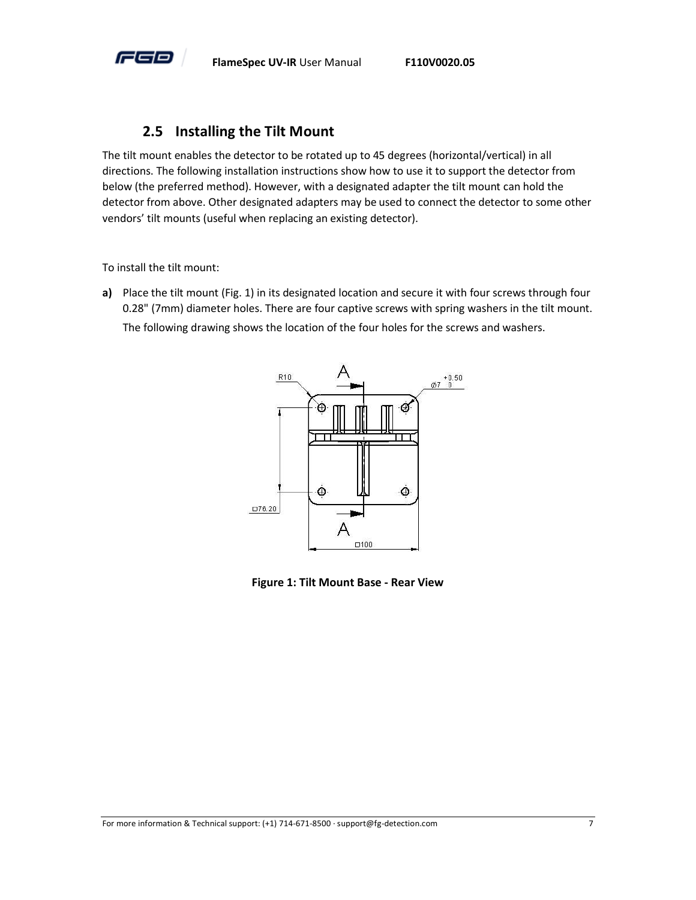

## **2.5 Installing the Tilt Mount**

<span id="page-11-0"></span>The tilt mount enables the detector to be rotated up to 45 degrees (horizontal/vertical) in all directions. The following installation instructions show how to use it to support the detector from below (the preferred method). However, with a designated adapter the tilt mount can hold the detector from above. Other designated adapters may be used to connect the detector to some other vendors' tilt mounts (useful when replacing an existing detector).

To install the tilt mount:

**a)** Place the tilt mount (Fig. 1) in its designated location and secure it with four screws through four 0.28" (7mm) diameter holes. There are four captive screws with spring washers in the tilt mount. The following drawing shows the location of the four holes for the screws and washers.



<span id="page-11-1"></span>**Figure 1: Tilt Mount Base - Rear View**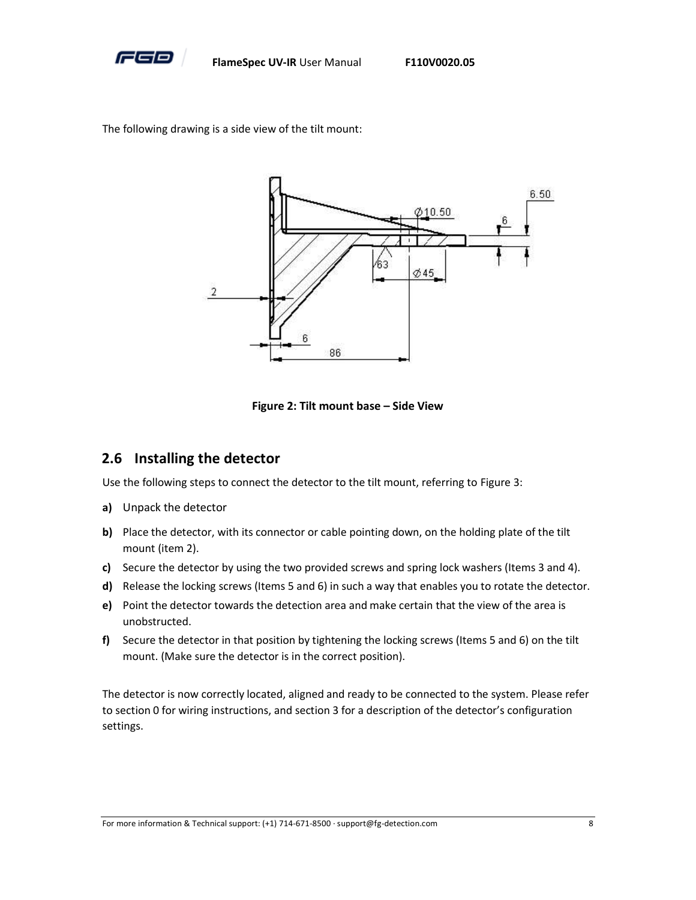

The following drawing is a side view of the tilt mount:



**Figure 2: Tilt mount base – Side View**

## <span id="page-12-1"></span><span id="page-12-0"></span>**2.6 Installing the detector**

Use the following steps to connect the detector to the tilt mount, referring t[o Figure 3:](#page-13-0)

- **a)** Unpack the detector
- **b)** Place the detector, with its connector or cable pointing down, on the holding plate of the tilt mount (item 2).
- **c)** Secure the detector by using the two provided screws and spring lock washers (Items 3 and 4).
- **d)** Release the locking screws (Items 5 and 6) in such a way that enables you to rotate the detector.
- **e)** Point the detector towards the detection area and make certain that the view of the area is unobstructed.
- **f)** Secure the detector in that position by tightening the locking screws (Items 5 and 6) on the tilt mount. (Make sure the detector is in the correct position).

The detector is now correctly located, aligned and ready to be connected to the system. Please refer to section [0](#page-15-6) for wiring instructions, and sectio[n 3](#page-14-0) for a description of the detector's configuration settings.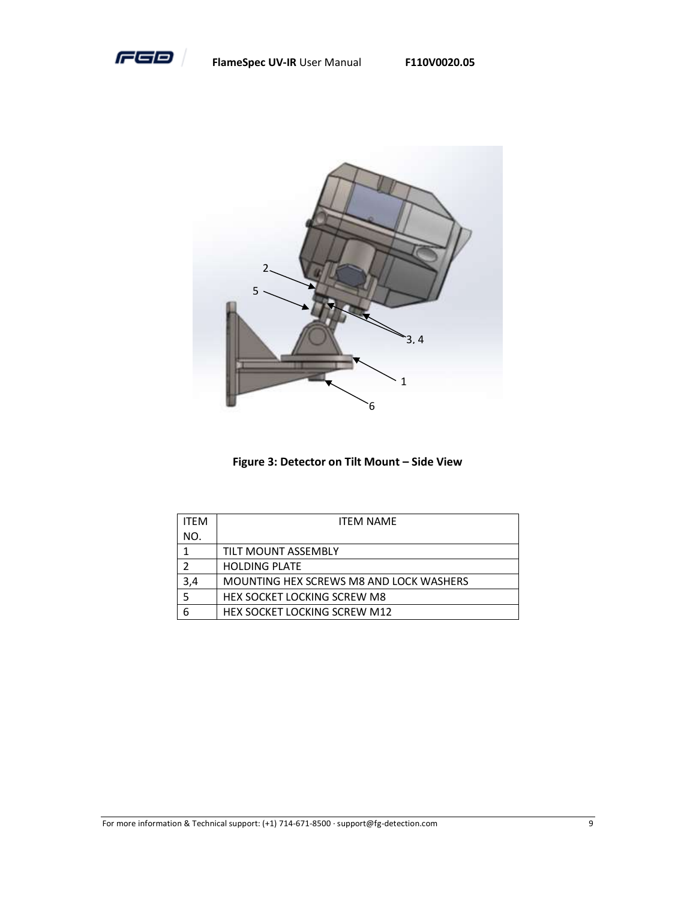

**FlameSpec UV-IR** User Manual **F110V0020.05**



**Figure 3: Detector on Tilt Mount – Side View**

<span id="page-13-0"></span>

| <b>ITFM</b> | <b>ITFM NAMF</b>                        |
|-------------|-----------------------------------------|
| NO.         |                                         |
|             | TILT MOUNT ASSEMBLY                     |
| າ           | <b>HOLDING PLATE</b>                    |
| 3,4         | MOUNTING HEX SCREWS M8 AND LOCK WASHERS |
| 5           | <b>HEX SOCKET LOCKING SCREW M8</b>      |
| 6           | <b>HEX SOCKET LOCKING SCREW M12</b>     |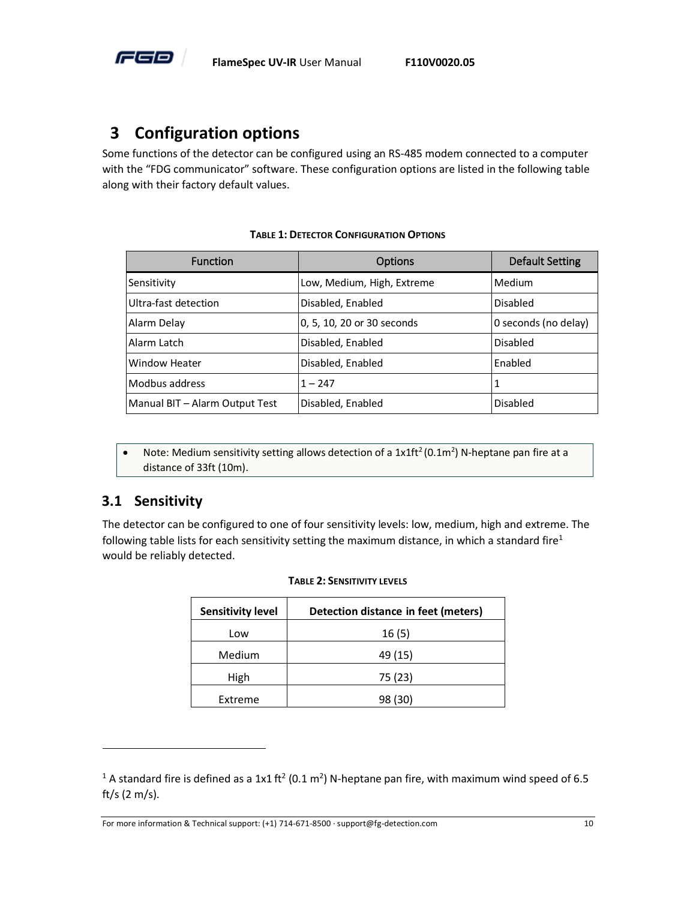

# <span id="page-14-0"></span>**3 Configuration options**

Some functions of the detector can be configured using an RS-485 modem connected to a computer with the "FDG communicator" software. These configuration options are listed in the following table along with their factory default values.

<span id="page-14-2"></span>

| <b>Function</b>                | <b>Options</b>             | Default Setting      |
|--------------------------------|----------------------------|----------------------|
| Sensitivity                    | Low, Medium, High, Extreme | Medium               |
| Ultra-fast detection           | Disabled, Enabled          | Disabled             |
| Alarm Delay                    | 0, 5, 10, 20 or 30 seconds | 0 seconds (no delay) |
| Alarm Latch                    | Disabled, Enabled          | <b>Disabled</b>      |
| <b>Window Heater</b>           | Disabled, Enabled          | Enabled              |
| Modbus address                 | $1 - 247$                  |                      |
| Manual BIT - Alarm Output Test | Disabled, Enabled          | Disabled             |

#### **TABLE 1: DETECTOR CONFIGURATION OPTIONS**

• Note: Medium sensitivity setting allows detection of a  $1x1ft^2(0.1m^2)$  N-heptane pan fire at a distance of 33ft (10m).

## <span id="page-14-1"></span>**3.1 Sensitivity**

<span id="page-14-3"></span>The detector can be configured to one of four sensitivity levels: low, medium, high and extreme. The following table lists for each sensitivity setting the maximum distance, in which a standard fire<sup>1</sup> would be reliably detected.

| <b>Sensitivity level</b> | Detection distance in feet (meters) |
|--------------------------|-------------------------------------|
| Low                      | 16(5)                               |
| Medium                   | 49 (15)                             |
| High                     | 75 (23)                             |
| Extreme                  | 98 (30)                             |

#### **TABLE 2: SENSITIVITY LEVELS**

<sup>&</sup>lt;sup>1</sup> A standard fire is defined as a 1x1 ft<sup>2</sup> (0.1 m<sup>2</sup>) N-heptane pan fire, with maximum wind speed of 6.5 ft/s (2 m/s).

For more information & Technical support: (+1) 714-671-8500 · support@fg-detection.com 10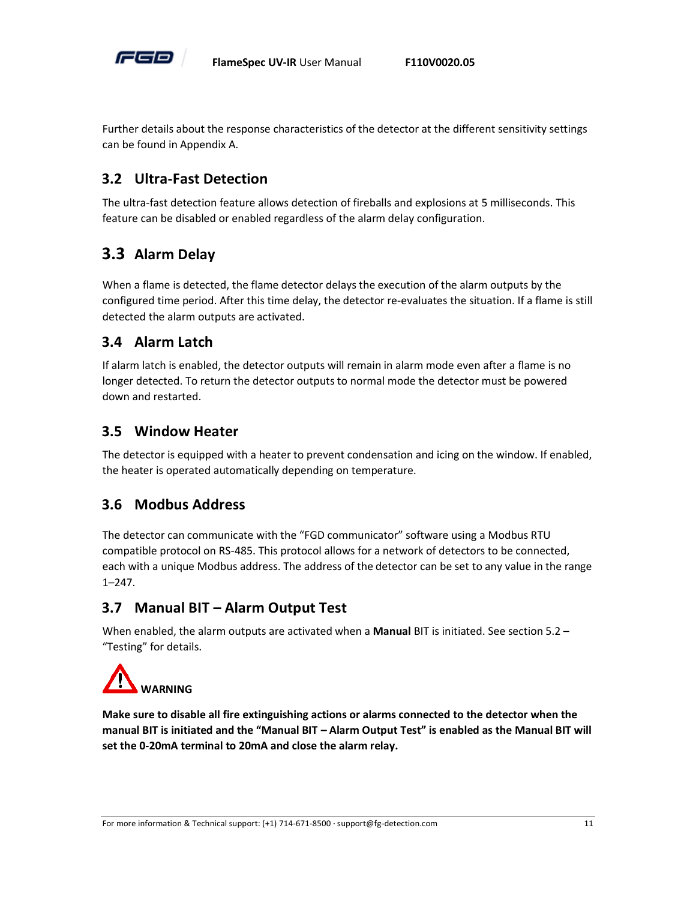

Further details about the response characteristics of the detector at the different sensitivity settings can be found i[n Appendix A.](#page-28-0)

## <span id="page-15-0"></span>**3.2 Ultra-Fast Detection**

The ultra-fast detection feature allows detection of fireballs and explosions at 5 milliseconds. This feature can be disabled or enabled regardless of the alarm delay configuration.

# <span id="page-15-1"></span>**3.3 Alarm Delay**

When a flame is detected, the flame detector delays the execution of the alarm outputs by the configured time period. After this time delay, the detector re-evaluates the situation. If a flame is still detected the alarm outputs are activated.

## <span id="page-15-2"></span>**3.4 Alarm Latch**

If alarm latch is enabled, the detector outputs will remain in alarm mode even after a flame is no longer detected. To return the detector outputs to normal mode the detector must be powered down and restarted.

## <span id="page-15-3"></span>**3.5 Window Heater**

The detector is equipped with a heater to prevent condensation and icing on the window. If enabled, the heater is operated automatically depending on temperature.

## <span id="page-15-4"></span>**3.6 Modbus Address**

The detector can communicate with the "FGD communicator" software using a Modbus RTU compatible protocol on RS-485. This protocol allows for a network of detectors to be connected, each with a unique Modbus address. The address of the detector can be set to any value in the range 1–247.

## <span id="page-15-5"></span>**3.7 Manual BIT – Alarm Output Test**

When enabled, the alarm outputs are activated when a **Manual** BIT is initiated. See section [5.2](#page-21-0) – "[Testing](#page-21-0)" for details.



<span id="page-15-6"></span>**Make sure to disable all fire extinguishing actions or alarms connected to the detector when the manual BIT is initiated and the "Manual BIT – Alarm Output Test" is enabled as the Manual BIT will set the 0-20mA terminal to 20mA and close the alarm relay.**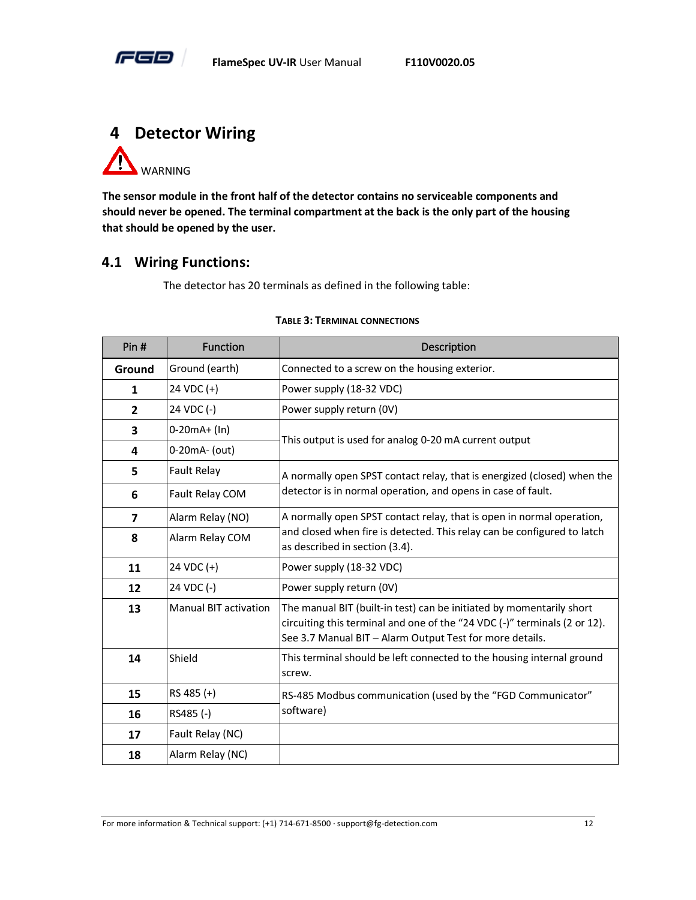

<span id="page-16-0"></span>

**The sensor module in the front half of the detector contains no serviceable components and should never be opened. The terminal compartment at the back is the only part of the housing that should be opened by the user.** 

### <span id="page-16-1"></span>**4.1 Wiring Functions:**

The detector has 20 terminals as defined in the following table:

<span id="page-16-2"></span>

| Pin#           | <b>Function</b>              | Description                                                                                                                                                                                                   |
|----------------|------------------------------|---------------------------------------------------------------------------------------------------------------------------------------------------------------------------------------------------------------|
| Ground         | Ground (earth)               | Connected to a screw on the housing exterior.                                                                                                                                                                 |
| 1              | 24 VDC (+)                   | Power supply (18-32 VDC)                                                                                                                                                                                      |
| $\overline{2}$ | 24 VDC (-)                   | Power supply return (0V)                                                                                                                                                                                      |
| 3              | $0-20mA + (In)$              | This output is used for analog 0-20 mA current output                                                                                                                                                         |
| 4              | 0-20mA- (out)                |                                                                                                                                                                                                               |
| 5              | Fault Relay                  | A normally open SPST contact relay, that is energized (closed) when the                                                                                                                                       |
| 6              | Fault Relay COM              | detector is in normal operation, and opens in case of fault.                                                                                                                                                  |
| 7              | Alarm Relay (NO)             | A normally open SPST contact relay, that is open in normal operation,                                                                                                                                         |
| 8              | Alarm Relay COM              | and closed when fire is detected. This relay can be configured to latch<br>as described in section (3.4).                                                                                                     |
| 11             | 24 VDC (+)                   | Power supply (18-32 VDC)                                                                                                                                                                                      |
| 12             | 24 VDC (-)                   | Power supply return (OV)                                                                                                                                                                                      |
| 13             | <b>Manual BIT activation</b> | The manual BIT (built-in test) can be initiated by momentarily short<br>circuiting this terminal and one of the "24 VDC (-)" terminals (2 or 12).<br>See 3.7 Manual BIT - Alarm Output Test for more details. |
| 14             | Shield                       | This terminal should be left connected to the housing internal ground<br>screw.                                                                                                                               |
| 15             | RS 485 (+)                   | RS-485 Modbus communication (used by the "FGD Communicator"                                                                                                                                                   |
| 16             | RS485 (-)                    | software)                                                                                                                                                                                                     |
| 17             | Fault Relay (NC)             |                                                                                                                                                                                                               |
| 18             | Alarm Relay (NC)             |                                                                                                                                                                                                               |

#### **TABLE 3: TERMINAL CONNECTIONS**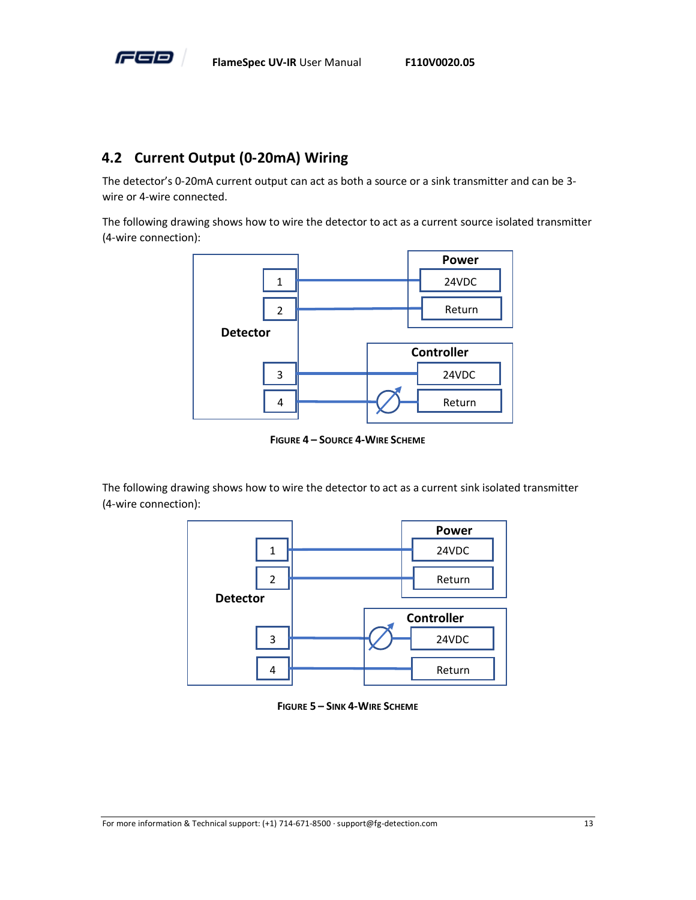

## <span id="page-17-0"></span>**4.2 Current Output (0-20mA) Wiring**

The detector's 0-20mA current output can act as both a source or a sink transmitter and can be 3 wire or 4-wire connected.

The following drawing shows how to wire the detector to act as a current source isolated transmitter (4-wire connection):



**FIGURE 4 – SOURCE 4-WIRE SCHEME**

<span id="page-17-1"></span>The following drawing shows how to wire the detector to act as a current sink isolated transmitter (4-wire connection):



<span id="page-17-2"></span>**FIGURE 5 – SINK 4-WIRE SCHEME**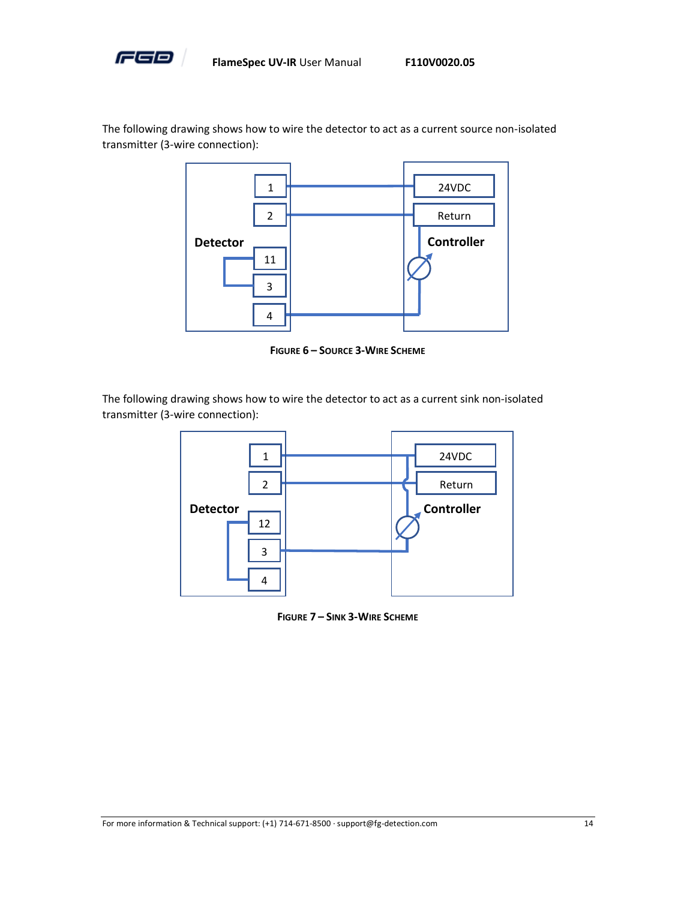

The following drawing shows how to wire the detector to act as a current source non-isolated transmitter (3-wire connection):



**FIGURE 6 – SOURCE 3-WIRE SCHEME**

<span id="page-18-0"></span>The following drawing shows how to wire the detector to act as a current sink non-isolated transmitter (3-wire connection):



<span id="page-18-1"></span>**FIGURE 7 – SINK 3-WIRE SCHEME**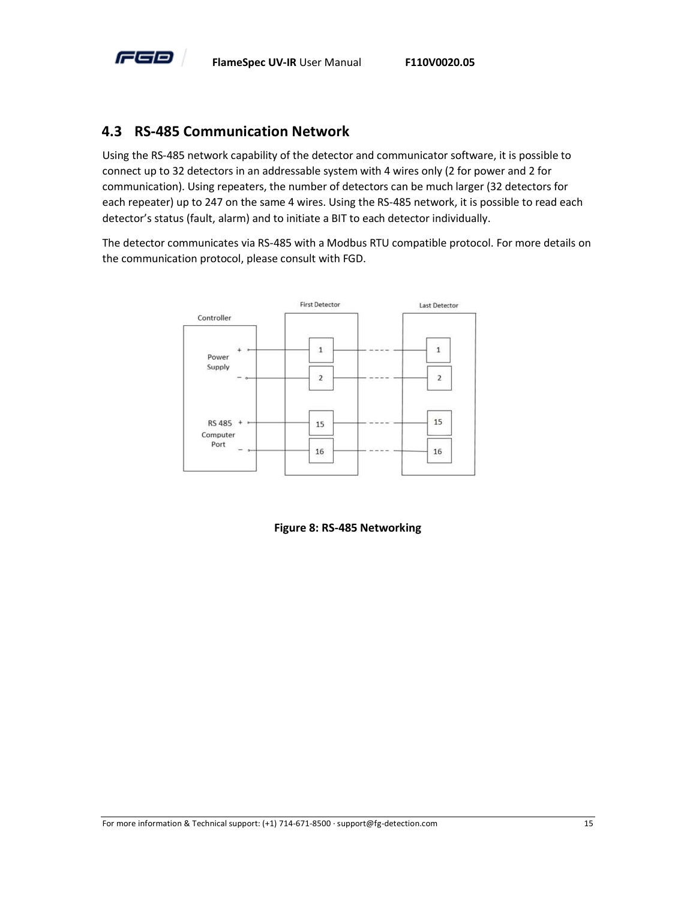

## <span id="page-19-0"></span>**4.3 RS-485 Communication Network**

Using the RS-485 network capability of the detector and communicator software, it is possible to connect up to 32 detectors in an addressable system with 4 wires only (2 for power and 2 for communication). Using repeaters, the number of detectors can be much larger (32 detectors for each repeater) up to 247 on the same 4 wires. Using the RS-485 network, it is possible to read each detector's status (fault, alarm) and to initiate a BIT to each detector individually.

The detector communicates via RS-485 with a Modbus RTU compatible protocol. For more details on the communication protocol, please consult with FGD.



<span id="page-19-1"></span>**Figure 8: RS-485 Networking**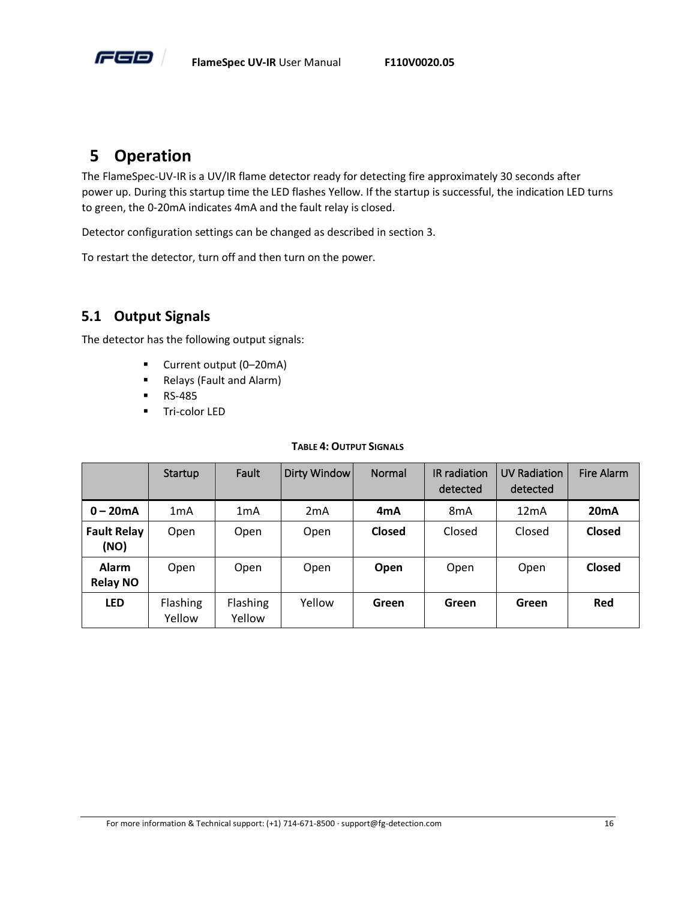

# <span id="page-20-0"></span>**5 Operation**

The FlameSpec-UV-IR is a UV/IR flame detector ready for detecting fire approximately 30 seconds after power up. During this startup time the LED flashes Yellow. If the startup is successful, the indication LED turns to green, the 0-20mA indicates 4mA and the fault relay is closed.

Detector configuration settings can be changed as described in sectio[n 3.](#page-14-0)

To restart the detector, turn off and then turn on the power.

## <span id="page-20-1"></span>**5.1 Output Signals**

The detector has the following output signals:

- Current output (0–20mA)
- Relays (Fault and Alarm)
- RS-485
- Tri-color LED

#### **TABLE 4: OUTPUT SIGNALS**

<span id="page-20-2"></span>

|                            | Startup            | Fault              | Dirty Window     | Normal | IR radiation<br>detected | <b>UV Radiation</b><br>detected | Fire Alarm        |
|----------------------------|--------------------|--------------------|------------------|--------|--------------------------|---------------------------------|-------------------|
| $0 - 20mA$                 | 1 <sub>m</sub> A   | 1 <sub>m</sub> A   | 2 <sub>m</sub> A | 4mA    | 8 <sub>m</sub> A         | 12mA                            | 20 <sub>m</sub> A |
| <b>Fault Relay</b><br>(NO) | Open               | Open               | Open             | Closed | Closed                   | Closed                          | Closed            |
| Alarm<br><b>Relay NO</b>   | Open               | Open               | Open             | Open   | Open                     | Open                            | Closed            |
| <b>LED</b>                 | Flashing<br>Yellow | Flashing<br>Yellow | Yellow           | Green  | Green                    | Green                           | Red               |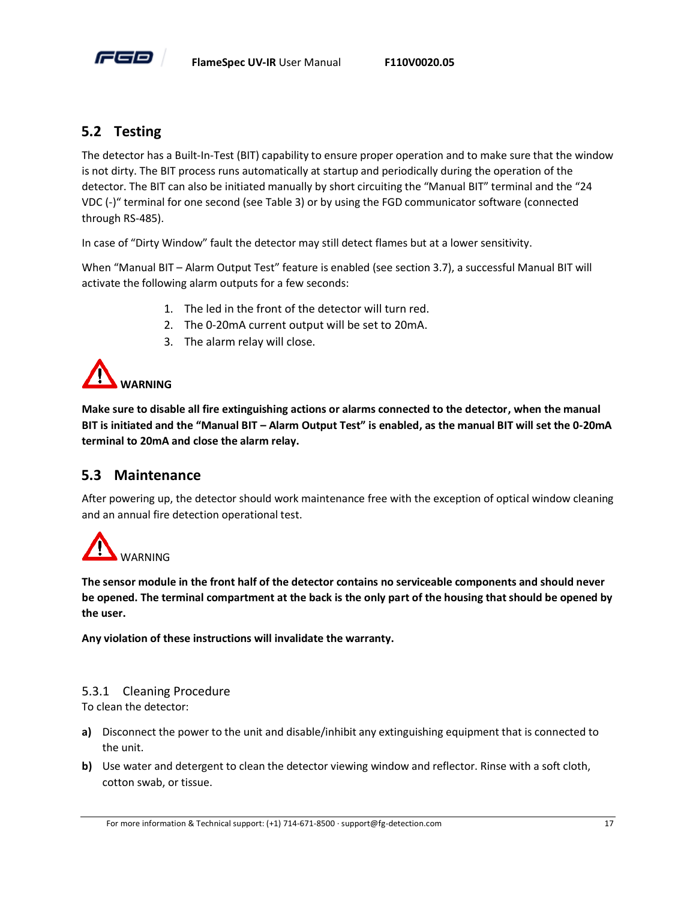

## <span id="page-21-0"></span>**5.2 Testing**

The detector has a Built-In-Test (BIT) capability to ensure proper operation and to make sure that the window is not dirty. The BIT process runs automatically at startup and periodically during the operation of the detector. The BIT can also be initiated manually by short circuiting the "Manual BIT" terminal and the "24 VDC (-)" terminal for one second (see [Table 3\)](#page-16-2) or by using the FGD communicator software (connected through RS-485).

In case of "Dirty Window" fault the detector may still detect flames but at a lower sensitivity.

When "Manual BIT – [Alarm Output Test](#page-15-5)" feature is enabled (see section [3.7\)](#page-15-5), a successful Manual BIT will activate the following alarm outputs for a few seconds:

- 1. The led in the front of the detector will turn red.
- 2. The 0-20mA current output will be set to 20mA.
- 3. The alarm relay will close.



**Make sure to disable all fire extinguishing actions or alarms connected to the detector, when the manual BIT is initiated and the "Manual BIT – Alarm Output Test" is enabled, as the manual BIT will set the 0-20mA terminal to 20mA and close the alarm relay.**

## <span id="page-21-1"></span>**5.3 Maintenance**

After powering up, the detector should work maintenance free with the exception of optical window cleaning and an annual fire detection operational test.



**The sensor module in the front half of the detector contains no serviceable components and should never be opened. The terminal compartment at the back is the only part of the housing that should be opened by the user.** 

**Any violation of these instructions will invalidate the warranty.**

## 5.3.1 Cleaning Procedure

To clean the detector:

- **a)** Disconnect the power to the unit and disable/inhibit any extinguishing equipment that is connected to the unit.
- **b)** Use water and detergent to clean the detector viewing window and reflector. Rinse with a soft cloth, cotton swab, or tissue.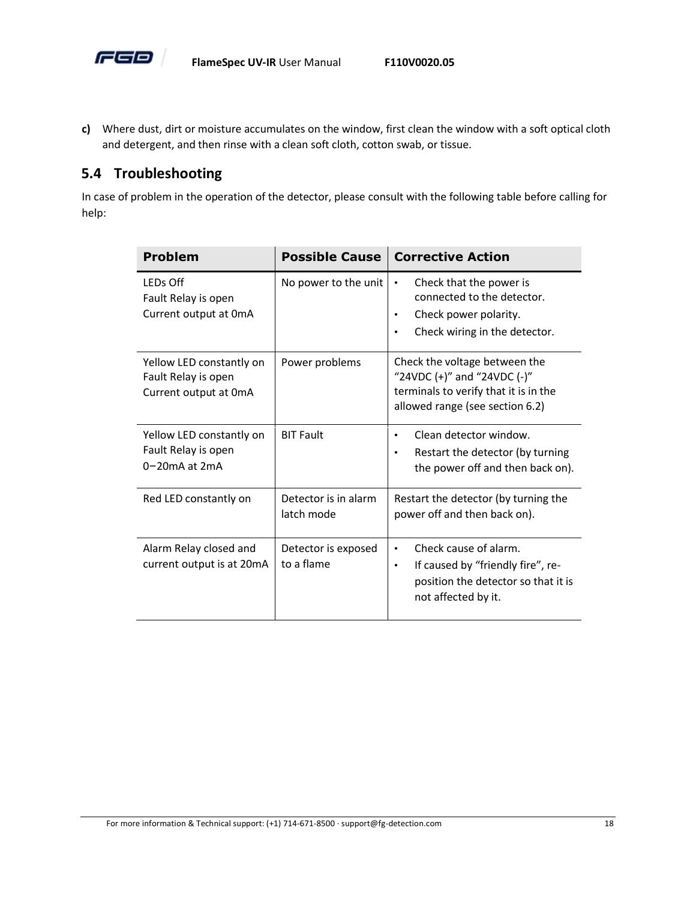

**c)** Where dust, dirt or moisture accumulates on the window, first clean the window with a soft optical cloth and detergent, and then rinse with a clean soft cloth, cotton swab, or tissue.

## <span id="page-22-0"></span>**5.4 Troubleshooting**

In case of problem in the operation of the detector, please consult with the following table before calling for help:

| <b>Problem</b>                                                           | <b>Possible Cause</b>              | <b>Corrective Action</b>                                                                                                                               |
|--------------------------------------------------------------------------|------------------------------------|--------------------------------------------------------------------------------------------------------------------------------------------------------|
| LEDs Off<br>Fault Relay is open<br>Current output at 0mA                 | No power to the unit               | Check that the power is<br>$\bullet$<br>connected to the detector.<br>Check power polarity.<br>$\bullet$<br>Check wiring in the detector.<br>$\bullet$ |
| Yellow LED constantly on<br>Fault Relay is open<br>Current output at 0mA | Power problems                     | Check the voltage between the<br>"24VDC $(+)$ " and "24VDC $(-)$ "<br>terminals to verify that it is in the<br>allowed range (see section 6.2)         |
| Yellow LED constantly on<br>Fault Relay is open<br>$0-20$ mA at $2mA$    | <b>BIT Fault</b>                   | Clean detector window.<br>$\bullet$<br>Restart the detector (by turning<br>$\bullet$<br>the power off and then back on).                               |
| Red LED constantly on                                                    | Detector is in alarm<br>latch mode | Restart the detector (by turning the<br>power off and then back on).                                                                                   |
| Alarm Relay closed and<br>current output is at 20mA                      | Detector is exposed<br>to a flame  | Check cause of alarm.<br>$\bullet$<br>If caused by "friendly fire", re-<br>$\bullet$<br>position the detector so that it is<br>not affected by it.     |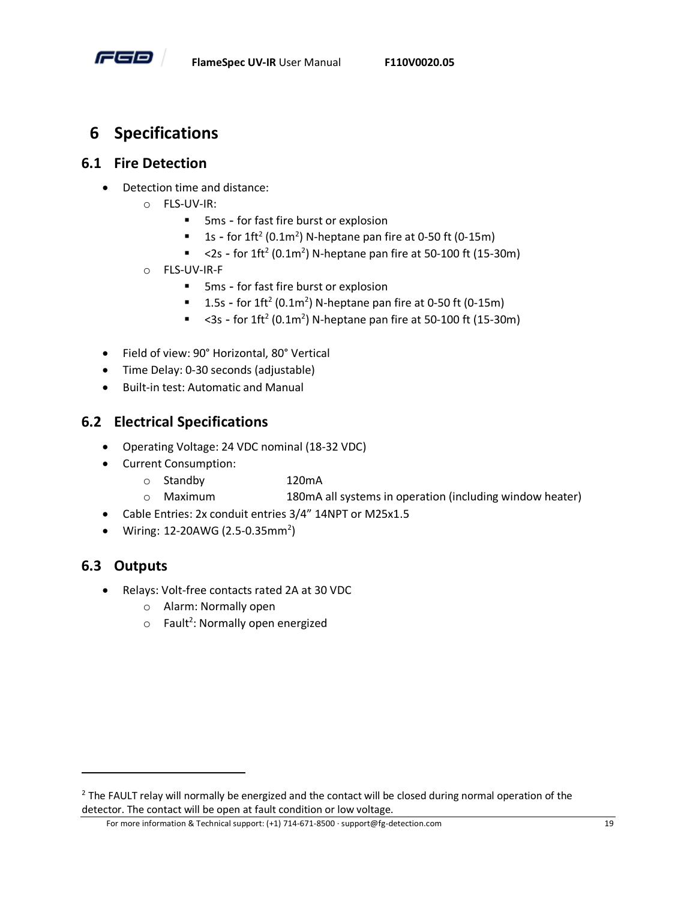

# <span id="page-23-0"></span>**6 Specifications**

## <span id="page-23-1"></span>**6.1 Fire Detection**

- Detection time and distance:
	- o FLS-UV-IR:
		- 5ms for fast fire burst or explosion
		- $\blacksquare$  1s for 1ft<sup>2</sup> (0.1m<sup>2</sup>) N-heptane pan fire at 0-50 ft (0-15m)
		- $\sim$  <2s for 1ft<sup>2</sup> (0.1m<sup>2</sup>) N-heptane pan fire at 50-100 ft (15-30m)
	- o FLS-UV-IR-F
		- 5ms for fast fire burst or explosion
		- **1.5s** for 1ft<sup>2</sup> (0.1m<sup>2</sup>) N-heptane pan fire at 0-50 ft (0-15m)
		- $\sim$  <3s for 1ft<sup>2</sup> (0.1m<sup>2</sup>) N-heptane pan fire at 50-100 ft (15-30m)
- Field of view: 90° Horizontal, 80° Vertical
- Time Delay: 0-30 seconds (adjustable)
- Built-in test: Automatic and Manual

## <span id="page-23-2"></span>**6.2 Electrical Specifications**

- Operating Voltage: 24 VDC nominal (18-32 VDC)
- Current Consumption:
	- o Standby 120mA
	- o Maximum 180mA all systems in operation (including window heater)
- Cable Entries: 2x conduit entries 3/4" 14NPT or M25x1.5
- $\bullet$  Wiring: 12-20AWG (2.5-0.35mm<sup>2</sup>)

## <span id="page-23-3"></span>**6.3 Outputs**

- Relays: Volt-free contacts rated 2A at 30 VDC
	- o Alarm: Normally open
	- $\circ$  Fault<sup>2</sup>: Normally open energized

For more information & Technical support: (+1) 714-671-8500 · support@fg-detection.com 19

<sup>&</sup>lt;sup>2</sup> The FAULT relay will normally be energized and the contact will be closed during normal operation of the detector. The contact will be open at fault condition or low voltage.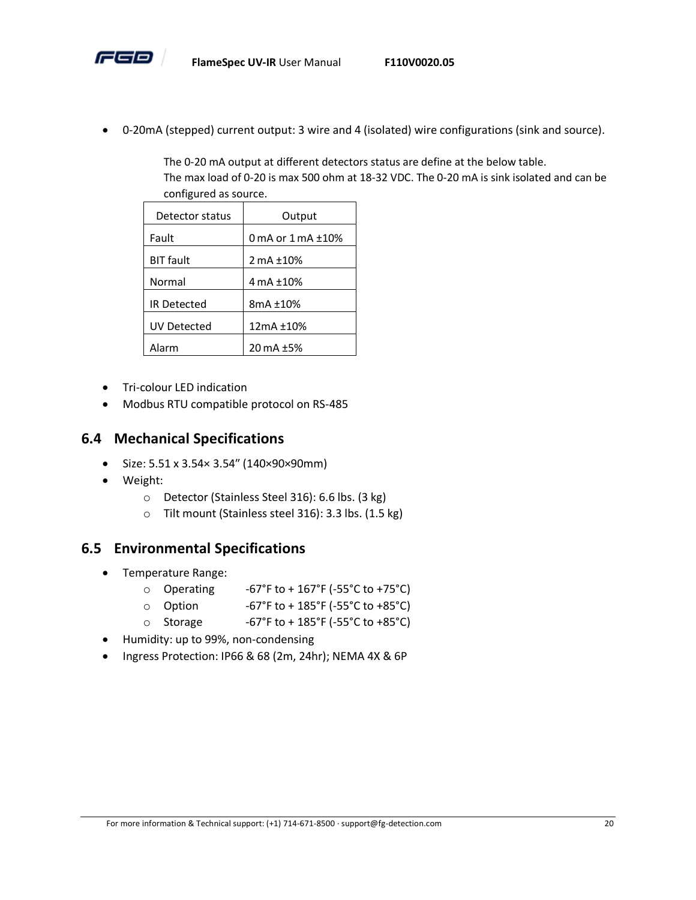

• 0-20mA (stepped) current output: 3 wire and 4 (isolated) wire configurations (sink and source).

The 0-20 mA output at different detectors status are define at the below table. The max load of 0-20 is max 500 ohm at 18-32 VDC. The 0-20 mA is sink isolated and can be configured as source.

| Detector status    | Output                   |
|--------------------|--------------------------|
| Fault              | 0 mA or $1$ mA $\pm$ 10% |
| <b>BIT fault</b>   | 2 mA ±10%                |
| Normal             | 4 mA ±10%                |
| <b>IR Detected</b> | $8mA + 10%$              |
| UV Detected        | 12mA ±10%                |
| Alarm              | 20 mA ±5%                |

- Tri-colour LED indication
- Modbus RTU compatible protocol on RS-485

## <span id="page-24-0"></span>**6.4 Mechanical Specifications**

- Size: 5.51 x 3.54× 3.54″ (140×90×90mm)
- Weight:
	- o Detector (Stainless Steel 316): 6.6 lbs. (3 kg)
	- o Tilt mount (Stainless steel 316): 3.3 lbs. (1.5 kg)

## <span id="page-24-1"></span>**6.5 Environmental Specifications**

- Temperature Range:
	- o Operating  $-67^\circ$ F to + 167°F (-55°C to +75°C)
	- $\circ$  Option -67°F to + 185°F (-55°C to +85°C)
	- o Storage  $-67^\circ$ F to + 185 $^\circ$ F (-55 $^\circ$ C to +85 $^\circ$ C)
- Humidity: up to 99%, non-condensing
- Ingress Protection: IP66 & 68 (2m, 24hr); NEMA 4X & 6P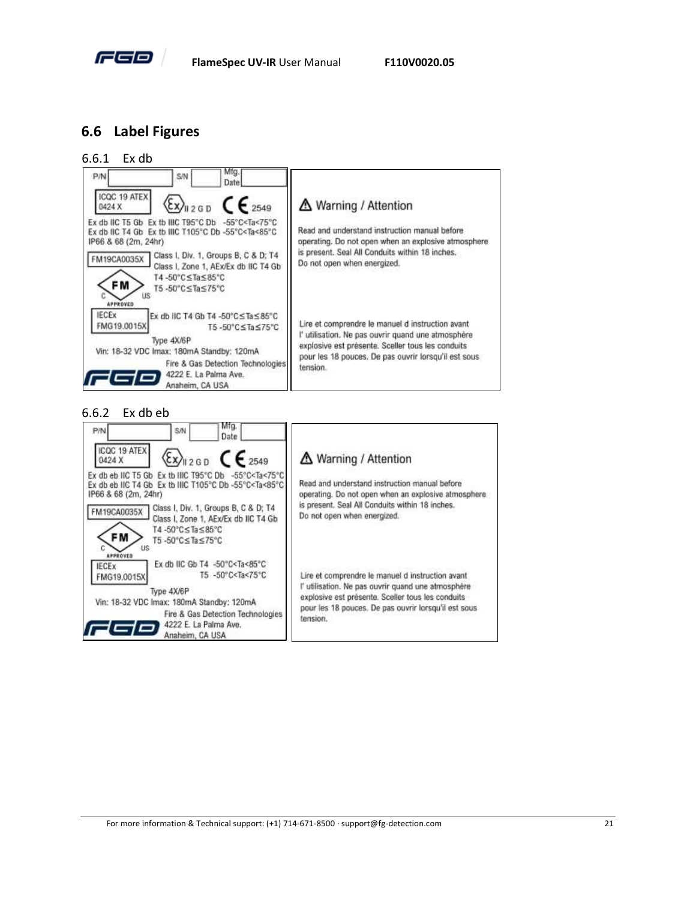

## <span id="page-25-0"></span>**6.6 Label Figures**

<span id="page-25-1"></span>6.6.1 Ex db Mfg.  $P/N$ S/N Date ICQC 19 ATEX  $\langle \xi \chi \rangle_{\parallel 2 \, \text{G D}}$  $C \epsilon_{2549}$ △ Warning / Attention 0424 X Ex db IIC T5 Gb Ex tb IIIC T95"C Db -55°C<Ta<75°C Ex db IIC T4 Gb Ex tb IIIC T105°C Db -55°C<Ta<85°C Read and understand instruction manual before IP66 & 68 (2m, 24hr) operating. Do not open when an explosive atmosphere is present. Seal All Conduits within 18 inches. Class I, Div. 1, Groups B, C & D; T4 FM19CA0035X Do not open when energized. Class I, Zone 1, AEx/Ex db IIC T4 Gb T4 -50°C≤Ta≤85°C FM T5-50°C≤Ta≤75°C lis APPROVED **IECEX** Ex db IIC T4 Gb T4 -50°C≤Ta≤85°C Lire et comprendre le manuel d instruction avant FMG19.0015X T5-50°C≤Ta≤75°C l'utilisation. Ne pas ouvrir quand une atmosphère Type 4X/6P explosive est présente. Sceller tous les conduits Vin: 18-32 VDC Imax: 180mA Standby: 120mA pour les 18 pouces. De pas ouvrir lorsqu'il est sous Fire & Gas Detection Technologies tension. 4222 E. La Palma Ave. 150 Anaheim, CA USA

#### 6.6.2 Ex db eb

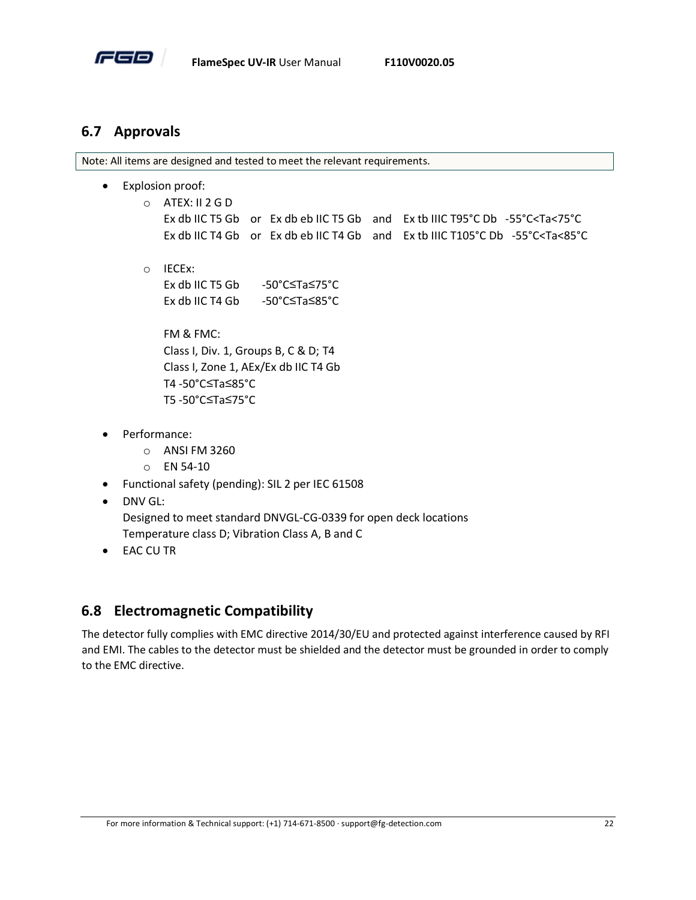

## <span id="page-26-0"></span>**6.7 Approvals**

Note: All items are designed and tested to meet the relevant requirements.

- Explosion proof:
	- o ATEX: II 2 G D
		- Ex db IIC T5 Gb or Ex db eb IIC T5 Gb and Ex tb IIIC T95°C Db -55°C<Ta<75°C Ex db IIC T4 Gb or Ex db eb IIC T4 Gb and Ex tb IIIC T105°C Db -55°C<Ta<85°C
	- o IECEx: Ex db IIC T5 Gb -50°C≤Ta≤75°C Ex db IIC T4 Gb -50°C≤Ta≤85°C

FM & FMC: Class I, Div. 1, Groups B, C & D; T4 Class I, Zone 1, AEx/Ex db IIC T4 Gb T4 -50°C≤Ta≤85°C T5 -50°C≤Ta≤75°C

- Performance:
	- o ANSI FM 3260
	- o EN 54-10
- Functional safety (pending): SIL 2 per IEC 61508
- DNV GL:

Designed to meet standard DNVGL-CG-0339 for open deck locations Temperature class D; Vibration Class A, B and C

• EAC CU TR

## <span id="page-26-1"></span>**6.8 Electromagnetic Compatibility**

The detector fully complies with EMC directive 2014/30/EU and protected against interference caused by RFI and EMI. The cables to the detector must be shielded and the detector must be grounded in order to comply to the EMC directive.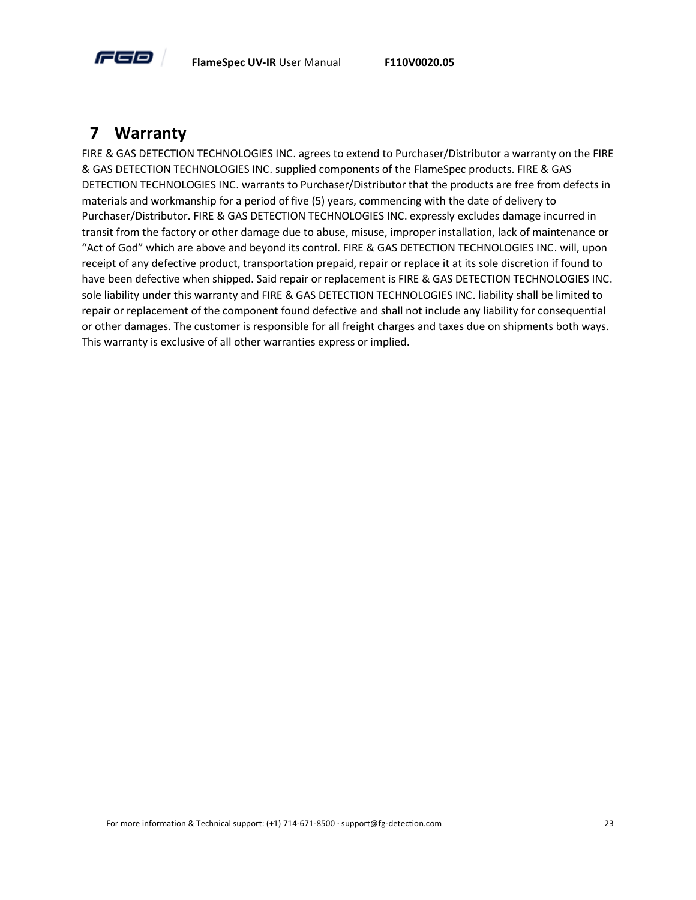

# <span id="page-27-0"></span>**7 Warranty**

FIRE & GAS DETECTION TECHNOLOGIES INC. agrees to extend to Purchaser/Distributor a warranty on the FIRE & GAS DETECTION TECHNOLOGIES INC. supplied components of the FlameSpec products. FIRE & GAS DETECTION TECHNOLOGIES INC. warrants to Purchaser/Distributor that the products are free from defects in materials and workmanship for a period of five (5) years, commencing with the date of delivery to Purchaser/Distributor. FIRE & GAS DETECTION TECHNOLOGIES INC. expressly excludes damage incurred in transit from the factory or other damage due to abuse, misuse, improper installation, lack of maintenance or "Act of God" which are above and beyond its control. FIRE & GAS DETECTION TECHNOLOGIES INC. will, upon receipt of any defective product, transportation prepaid, repair or replace it at its sole discretion if found to have been defective when shipped. Said repair or replacement is FIRE & GAS DETECTION TECHNOLOGIES INC. sole liability under this warranty and FIRE & GAS DETECTION TECHNOLOGIES INC. liability shall be limited to repair or replacement of the component found defective and shall not include any liability for consequential or other damages. The customer is responsible for all freight charges and taxes due on shipments both ways. This warranty is exclusive of all other warranties express or implied.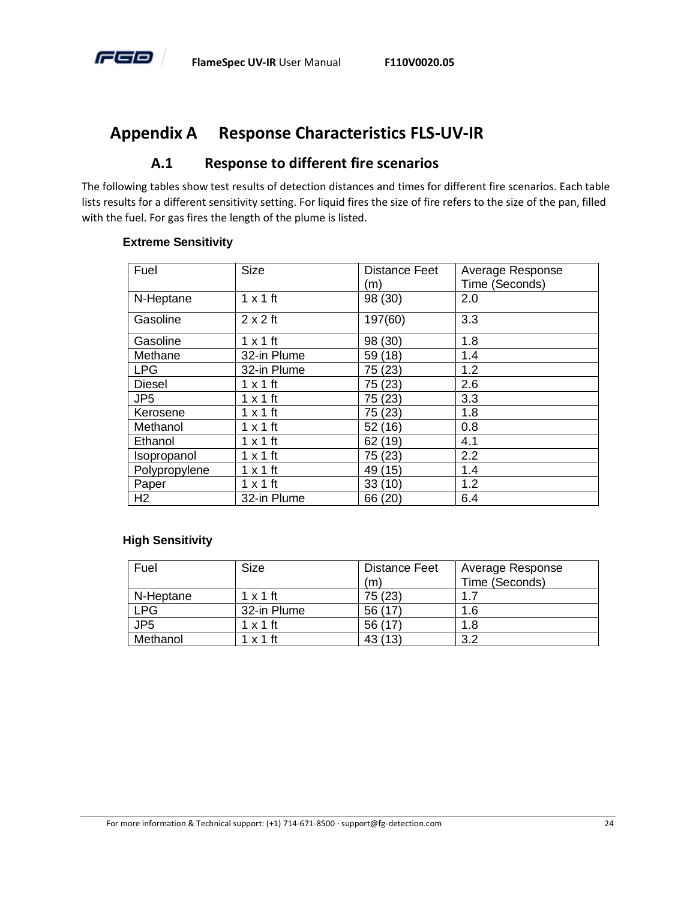

# <span id="page-28-0"></span>**Appendix A Response Characteristics FLS-UV-IR**

# **A.1 Response to different fire scenarios**

<span id="page-28-1"></span>The following tables show test results of detection distances and times for different fire scenarios. Each table lists results for a different sensitivity setting. For liquid fires the size of fire refers to the size of the pan, filled with the fuel. For gas fires the length of the plume is listed.

## **Extreme Sensitivity**

| Fuel            | <b>Size</b>     | <b>Distance Feet</b> | Average Response |
|-----------------|-----------------|----------------------|------------------|
|                 |                 | (m)                  | Time (Seconds)   |
| N-Heptane       | $1 \times 1$ ft | 98 (30)              | 2.0              |
| Gasoline        | $2 \times 2$ ft | 197(60)              | 3.3              |
| Gasoline        | $1 \times 1$ ft | 98 (30)              | 1.8              |
| Methane         | 32-in Plume     | 59 (18)              | 1.4              |
| <b>LPG</b>      | 32-in Plume     | 75 (23)              | 1.2              |
| Diesel          | $1 \times 1$ ft | 75 (23)              | 2.6              |
| JP <sub>5</sub> | $1 \times 1$ ft | 75 (23)              | 3.3              |
| Kerosene        | $1 \times 1$ ft | 75 (23)              | 1.8              |
| Methanol        | $1 \times 1$ ft | 52 (16)              | 0.8              |
| Ethanol         | $1 \times 1$ ft | 62(19)               | 4.1              |
| Isopropanol     | $1 \times 1$ ft | 75 (23)              | 2.2              |
| Polypropylene   | $1 \times 1$ ft | 49 (15)              | 1.4              |
| Paper           | $1 \times 1$ ft | 33(10)               | 1.2              |
| H <sub>2</sub>  | 32-in Plume     | 66 (20)              | 6.4              |

#### **High Sensitivity**

| Fuel            | <b>Size</b>     | <b>Distance Feet</b> | Average Response |
|-----------------|-----------------|----------------------|------------------|
|                 |                 | (m                   | Time (Seconds)   |
| N-Heptane       | $1 \times 1$ ft | 75 (23)              | 1.7              |
| <b>LPG</b>      | 32-in Plume     | 56 (17)              | 1.6              |
| JP <sub>5</sub> | $1 \times 1$ ft | 56 (17)              | 1.8              |
| Methanol        | $1 \times 1$ ft | 43 (13)              | 3.2              |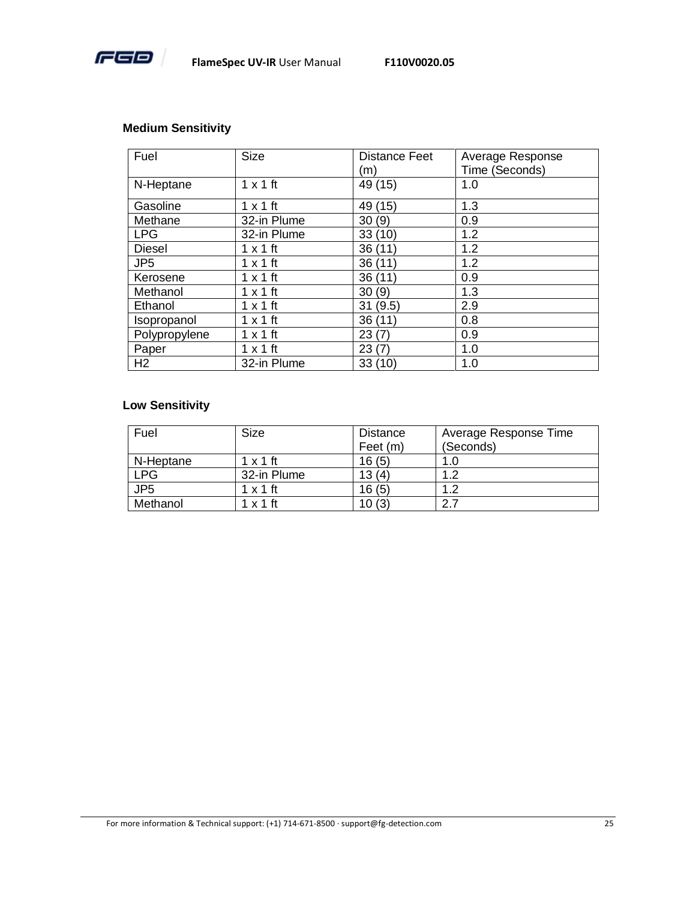

## **Medium Sensitivity**

| Fuel            | <b>Size</b>     | <b>Distance Feet</b> | Average Response |
|-----------------|-----------------|----------------------|------------------|
|                 |                 | (m)                  | Time (Seconds)   |
| N-Heptane       | $1 \times 1$ ft | 49 (15)              | 1.0              |
| Gasoline        | $1 \times 1$ ft | 49 (15)              | 1.3              |
| Methane         | 32-in Plume     | 30(9)                | 0.9              |
| <b>LPG</b>      | 32-in Plume     | 33(10)               | 1.2              |
| <b>Diesel</b>   | $1 \times 1$ ft | 36(11)               | 1.2              |
| JP <sub>5</sub> | $1 \times 1$ ft | 36(11)               | 1.2              |
| Kerosene        | $1 \times 1$ ft | 36(11)               | 0.9              |
| Methanol        | $1 \times 1$ ft | 30(9)                | 1.3              |
| Ethanol         | $1 \times 1$ ft | 31(9.5)              | 2.9              |
| Isopropanol     | $1 \times 1$ ft | 36(11)               | 0.8              |
| Polypropylene   | $1 \times 1$ ft | 23(7)                | 0.9              |
| Paper           | $1 \times 1$ ft | 23(7)                | 1.0              |
| H <sub>2</sub>  | 32-in Plume     | 33(10)               | 1.0              |

## **Low Sensitivity**

| Fuel            | Size            | Distance | Average Response Time |
|-----------------|-----------------|----------|-----------------------|
|                 |                 | Feet (m) | (Seconds)             |
| N-Heptane       | $1 \times 1$ ft | 16(5)    | 1.0                   |
| <b>LPG</b>      | 32-in Plume     | 13(4)    | .2                    |
| JP <sub>5</sub> | $1 \times 1$ ft | 16(5)    | ່າ                    |
| Methanol        | $1 \times 1$ ft | 10(3)    | ົ                     |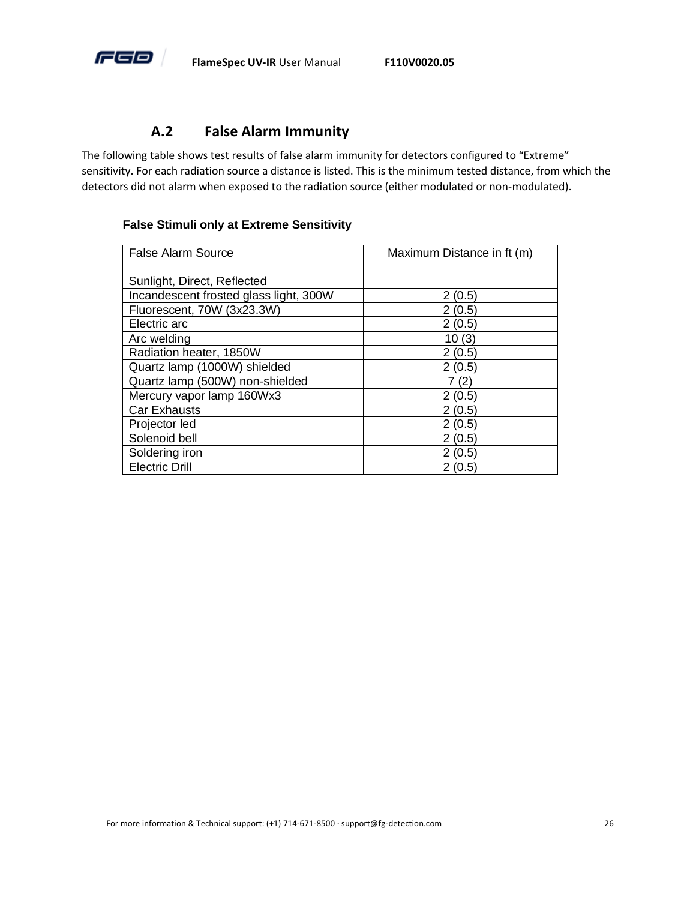

## **A.2 False Alarm Immunity**

<span id="page-30-0"></span>The following table shows test results of false alarm immunity for detectors configured to "Extreme" sensitivity. For each radiation source a distance is listed. This is the minimum tested distance, from which the detectors did not alarm when exposed to the radiation source (either modulated or non-modulated).

#### **False Stimuli only at Extreme Sensitivity**

| <b>False Alarm Source</b>              | Maximum Distance in ft (m) |
|----------------------------------------|----------------------------|
| Sunlight, Direct, Reflected            |                            |
| Incandescent frosted glass light, 300W | 2(0.5)                     |
| Fluorescent, 70W (3x23.3W)             | 2(0.5)                     |
| Electric arc                           | 2(0.5)                     |
| Arc welding                            | 10(3)                      |
| Radiation heater, 1850W                | 2(0.5)                     |
| Quartz lamp (1000W) shielded           | 2(0.5)                     |
| Quartz lamp (500W) non-shielded        | 7 (2)                      |
| Mercury vapor lamp 160Wx3              | 2(0.5)                     |
| <b>Car Exhausts</b>                    | 2(0.5)                     |
| Projector led                          | 2(0.5)                     |
| Solenoid bell                          | 2(0.5)                     |
| Soldering iron                         | 2(0.5)                     |
| <b>Electric Drill</b>                  | 2(0.5)                     |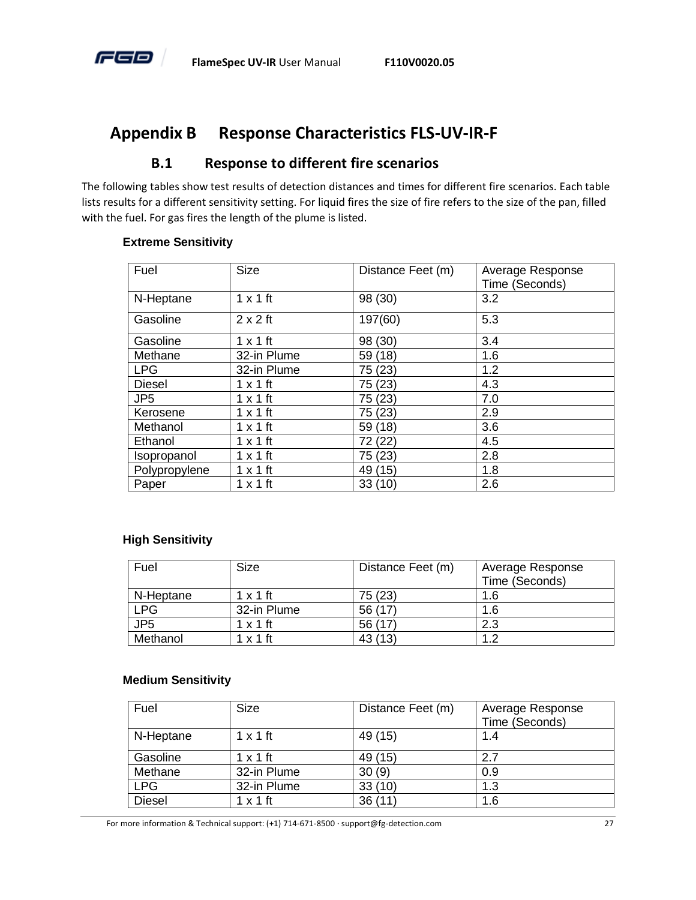

# <span id="page-31-0"></span>**Appendix B Response Characteristics FLS-UV-IR-F**

## **B.1 Response to different fire scenarios**

<span id="page-31-1"></span>The following tables show test results of detection distances and times for different fire scenarios. Each table lists results for a different sensitivity setting. For liquid fires the size of fire refers to the size of the pan, filled with the fuel. For gas fires the length of the plume is listed.

#### **Extreme Sensitivity**

| Fuel            | <b>Size</b>     | Distance Feet (m) | Average Response |
|-----------------|-----------------|-------------------|------------------|
|                 |                 |                   | Time (Seconds)   |
| N-Heptane       | $1 \times 1$ ft | 98 (30)           | 3.2              |
| Gasoline        | $2 \times 2$ ft | 197(60)           | 5.3              |
| Gasoline        | $1 \times 1$ ft | 98 (30)           | 3.4              |
| Methane         | 32-in Plume     | 59 (18)           | 1.6              |
| <b>LPG</b>      | 32-in Plume     | 75 (23)           | 1.2              |
| <b>Diesel</b>   | $1 \times 1$ ft | 75 (23)           | 4.3              |
| JP <sub>5</sub> | $1 \times 1$ ft | 75 (23)           | 7.0              |
| Kerosene        | $1 \times 1$ ft | 75 (23)           | 2.9              |
| Methanol        | $1 \times 1$ ft | 59 (18)           | 3.6              |
| Ethanol         | $1 \times 1$ ft | 72 (22)           | 4.5              |
| Isopropanol     | $1 \times 1$ ft | 75 (23)           | 2.8              |
| Polypropylene   | $1 \times 1$ ft | 49 (15)           | 1.8              |
| Paper           | $1 \times 1$ ft | 33(10)            | 2.6              |

#### **High Sensitivity**

| Fuel            | Size            | Distance Feet (m) | Average Response<br>Time (Seconds) |
|-----------------|-----------------|-------------------|------------------------------------|
| N-Heptane       | $1 \times 1$ ft | 75 (23)           | 1.6                                |
| LPG             | 32-in Plume     | 56 (17)           | 1.6                                |
| JP <sub>5</sub> | $1 \times 1$ ft | 56 (17)           | 2.3                                |
| Methanol        | $1 \times 1$ ft | 43 (13)           | ィっ                                 |

#### **Medium Sensitivity**

| Fuel          | <b>Size</b>     | Distance Feet (m) | Average Response<br>Time (Seconds) |
|---------------|-----------------|-------------------|------------------------------------|
| N-Heptane     | $1 \times 1$ ft | 49 (15)           | 1.4                                |
| Gasoline      | $1 \times 1$ ft | 49 (15)           | 2.7                                |
| Methane       | 32-in Plume     | 30(9)             | 0.9                                |
| <b>LPG</b>    | 32-in Plume     | 33(10)            | 1.3                                |
| <b>Diesel</b> | $1 \times 1$ ft | 36(11)            | 1.6                                |

For more information & Technical support: (+1) 714-671-8500 · support@fg-detection.com 27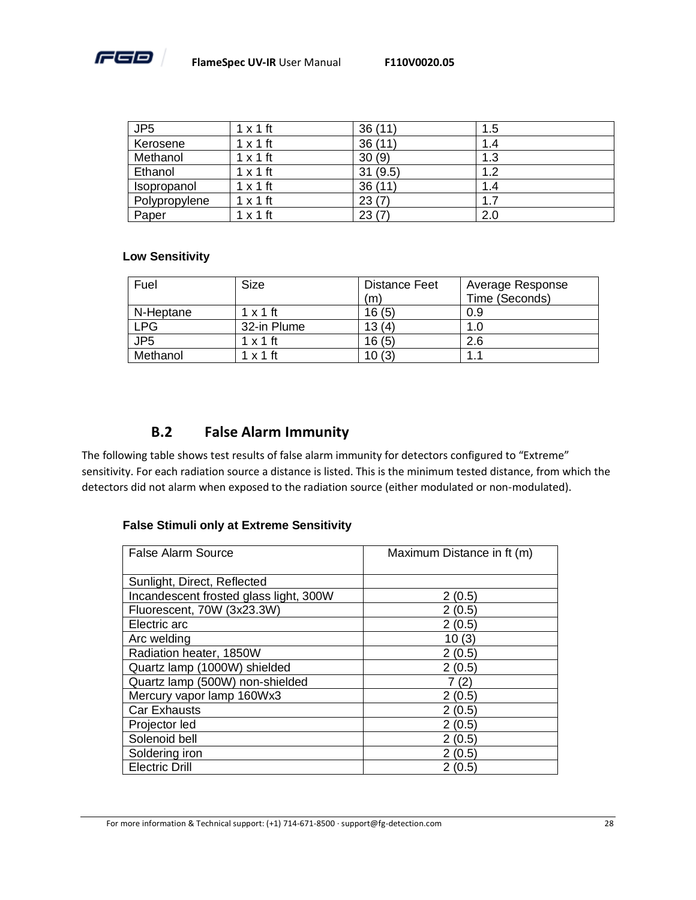

| JP <sub>5</sub> | $1 \times 1$ ft | 36(11)  | 1.5 |
|-----------------|-----------------|---------|-----|
| Kerosene        | $1 \times 1$ ft | 36(11)  | 1.4 |
| Methanol        | $1 \times 1$ ft | 30(9)   | 1.3 |
| Ethanol         | $1 \times 1$ ft | 31(9.5) | 1.2 |
| Isopropanol     | $1 \times 1$ ft | 36(11)  | 1.4 |
| Polypropylene   | $1 \times 1$ ft | 23(7)   | 1.7 |
| Paper           | $1 \times 1$ ft | 23(7)   | 2.0 |

#### **Low Sensitivity**

| Fuel       | Size            | <b>Distance Feet</b> | Average Response |
|------------|-----------------|----------------------|------------------|
|            |                 | (m)                  | Time (Seconds)   |
| N-Heptane  | $1 \times 1$ ft | 16(5)                | 0.9              |
| <b>LPG</b> | 32-in Plume     | 13(4)                | 1.0              |
| JP5        | $1 \times 1$ ft | 16(5)                | 2.6              |
| Methanol   | $1 \times 1$ ft | 10(3)                | 1 <sub>1</sub>   |

## **B.2 False Alarm Immunity**

<span id="page-32-0"></span>The following table shows test results of false alarm immunity for detectors configured to "Extreme" sensitivity. For each radiation source a distance is listed. This is the minimum tested distance, from which the detectors did not alarm when exposed to the radiation source (either modulated or non-modulated).

#### **False Stimuli only at Extreme Sensitivity**

| <b>False Alarm Source</b>              | Maximum Distance in ft (m) |
|----------------------------------------|----------------------------|
| Sunlight, Direct, Reflected            |                            |
| Incandescent frosted glass light, 300W | 2(0.5)                     |
| Fluorescent, 70W (3x23.3W)             | 2(0.5)                     |
| Electric arc                           | 2(0.5)                     |
| Arc welding                            | 10(3)                      |
| Radiation heater, 1850W                | 2(0.5)                     |
| Quartz lamp (1000W) shielded           | 2(0.5)                     |
| Quartz lamp (500W) non-shielded        | 7 (2)                      |
| Mercury vapor lamp 160Wx3              | 2(0.5)                     |
| <b>Car Exhausts</b>                    | 2(0.5)                     |
| Projector led                          | 2(0.5)                     |
| Solenoid bell                          | 2(0.5)                     |
| Soldering iron                         | 2(0.5)                     |
| <b>Electric Drill</b>                  | 2(0.5)                     |